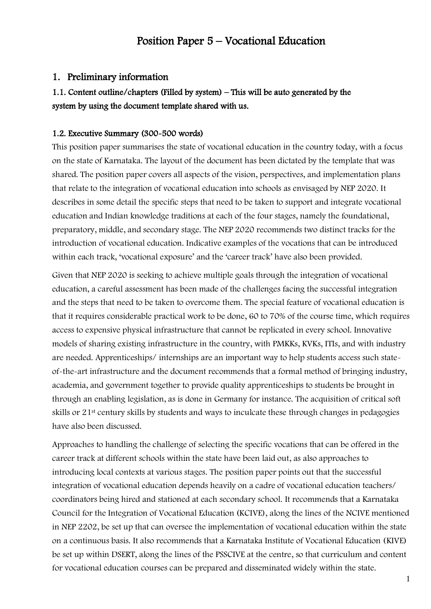## Position Paper 5 – Vocational Education

### 1. Preliminary information

## 1.1. Content outline/chapters (Filled by system) – This will be auto generated by the system by using the document template shared with us.

#### 1.2. Executive Summary (300-500 words)

This position paper summarises the state of vocational education in the country today, with a focus on the state of Karnataka. The layout of the document has been dictated by the template that was shared. The position paper covers all aspects of the vision, perspectives, and implementation plans that relate to the integration of vocational education into schools as envisaged by NEP 2020. It describes in some detail the specific steps that need to be taken to support and integrate vocational education and Indian knowledge traditions at each of the four stages, namely the foundational, preparatory, middle, and secondary stage. The NEP 2020 recommends two distinct tracks for the introduction of vocational education. Indicative examples of the vocations that can be introduced within each track, 'vocational exposure' and the 'career track' have also been provided.

Given that NEP 2020 is seeking to achieve multiple goals through the integration of vocational education, a careful assessment has been made of the challenges facing the successful integration and the steps that need to be taken to overcome them. The special feature of vocational education is that it requires considerable practical work to be done, 60 to 70% of the course time, which requires access to expensive physical infrastructure that cannot be replicated in every school. Innovative models of sharing existing infrastructure in the country, with PMKKs, KVKs, ITIs, and with industry are needed. Apprenticeships/ internships are an important way to help students access such stateof-the-art infrastructure and the document recommends that a formal method of bringing industry, academia, and government together to provide quality apprenticeships to students be brought in through an enabling legislation, as is done in Germany for instance. The acquisition of critical soft skills or 21st century skills by students and ways to inculcate these through changes in pedagogies have also been discussed.

Approaches to handling the challenge of selecting the specific vocations that can be offered in the career track at different schools within the state have been laid out, as also approaches to introducing local contexts at various stages. The position paper points out that the successful integration of vocational education depends heavily on a cadre of vocational education teachers/ coordinators being hired and stationed at each secondary school. It recommends that a Karnataka Council for the Integration of Vocational Education (KCIVE), along the lines of the NCIVE mentioned in NEP 2202, be set up that can oversee the implementation of vocational education within the state on a continuous basis. It also recommends that a Karnataka Institute of Vocational Education (KIVE) be set up within DSERT, along the lines of the PSSCIVE at the centre, so that curriculum and content for vocational education courses can be prepared and disseminated widely within the state.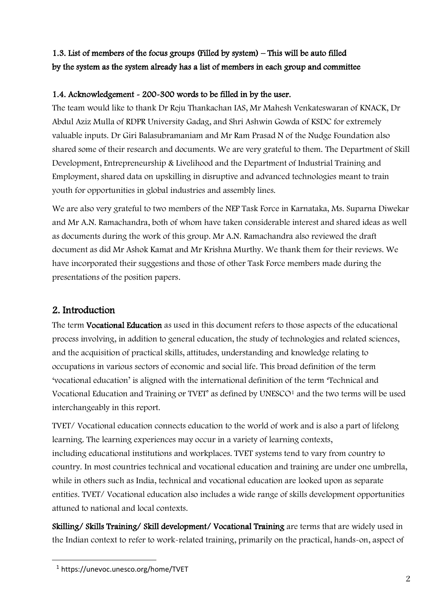## 1.3. List of members of the focus groups (Filled by system) – This will be auto filled by the system as the system already has a list of members in each group and committee

## 1.4. Acknowledgement - 200-300 words to be filled in by the user.

The team would like to thank Dr Reju Thankachan IAS, Mr Mahesh Venkateswaran of KNACK, Dr Abdul Aziz Mulla of RDPR University Gadag, and Shri Ashwin Gowda of KSDC for extremely valuable inputs. Dr Giri Balasubramaniam and Mr Ram Prasad N of the Nudge Foundation also shared some of their research and documents. We are very grateful to them. The Department of Skill Development, Entrepreneurship & Livelihood and the Department of Industrial Training and Employment, shared data on upskilling in disruptive and advanced technologies meant to train youth for opportunities in global industries and assembly lines.

We are also very grateful to two members of the NEP Task Force in Karnataka, Ms. Suparna Diwekar and Mr A.N. Ramachandra, both of whom have taken considerable interest and shared ideas as well as documents during the work of this group. Mr A.N. Ramachandra also reviewed the draft document as did Mr Ashok Kamat and Mr Krishna Murthy. We thank them for their reviews. We have incorporated their suggestions and those of other Task Force members made during the presentations of the position papers.

## 2. Introduction

The term Vocational Education as used in this document refers to those aspects of the educational process involving, in addition to general education, the study of technologies and related sciences, and the acquisition of practical skills, attitudes, understanding and knowledge relating to occupations in various sectors of economic and social life. This broad definition of the term 'vocational education' is aligned with the international definition of the term 'Technical and Vocational Education and Training or TVET' as defined by UNESCO<sup>1</sup> and the two terms will be used interchangeably in this report.

TVET/ Vocational education connects education to the world of work and is also a part of lifelong learning. The learning experiences may occur in a variety of learning contexts, including educational institutions and workplaces. TVET systems tend to vary from country to country. In most countries technical and vocational education and training are under one umbrella, while in others such as India, technical and vocational education are looked upon as separate entities. TVET/ Vocational education also includes a wide range of skills development opportunities attuned to national and local contexts.

Skilling/ Skills Training/ Skill development/ Vocational Training are terms that are widely used in the Indian context to refer to work-related training, primarily on the practical, hands-on, aspect of

<sup>1</sup> https://unevoc.unesco.org/home/TVET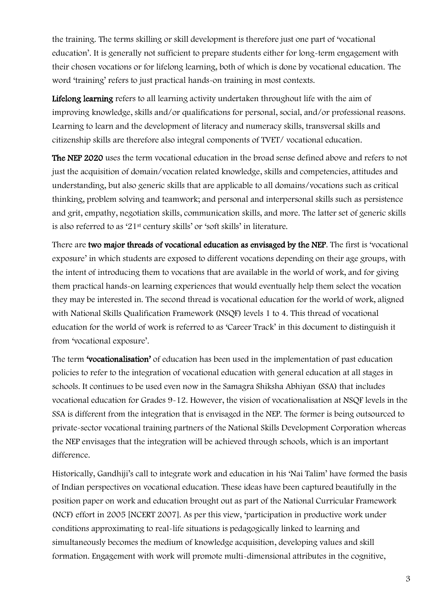the training. The terms skilling or skill development is therefore just one part of 'vocational education'. It is generally not sufficient to prepare students either for long-term engagement with their chosen vocations or for lifelong learning, both of which is done by vocational education. The word 'training' refers to just practical hands-on training in most contexts.

Lifelong learning refers to all learning activity undertaken throughout life with the aim of improving knowledge, skills and/or qualifications for personal, social, and/or professional reasons. Learning to learn and the development of literacy and numeracy skills, transversal skills and citizenship skills are therefore also integral components of TVET/ vocational education.

The NEP 2020 uses the term vocational education in the broad sense defined above and refers to not just the acquisition of domain/vocation related knowledge, skills and competencies, attitudes and understanding, but also generic skills that are applicable to all domains/vocations such as critical thinking, problem solving and teamwork; and personal and interpersonal skills such as persistence and grit, empathy, negotiation skills, communication skills, and more. The latter set of generic skills is also referred to as '21st century skills' or 'soft skills' in literature.

There are two major threads of vocational education as envisaged by the NEP. The first is 'vocational exposure' in which students are exposed to different vocations depending on their age groups, with the intent of introducing them to vocations that are available in the world of work, and for giving them practical hands-on learning experiences that would eventually help them select the vocation they may be interested in. The second thread is vocational education for the world of work, aligned with National Skills Qualification Framework (NSQF) levels 1 to 4. This thread of vocational education for the world of work is referred to as 'Career Track' in this document to distinguish it from 'vocational exposure'.

The term 'vocationalisation' of education has been used in the implementation of past education policies to refer to the integration of vocational education with general education at all stages in schools. It continues to be used even now in the Samagra Shiksha Abhiyan (SSA) that includes vocational education for Grades 9-12. However, the vision of vocationalisation at NSQF levels in the SSA is different from the integration that is envisaged in the NEP. The former is being outsourced to private-sector vocational training partners of the National Skills Development Corporation whereas the NEP envisages that the integration will be achieved through schools, which is an important difference.

Historically, Gandhiji's call to integrate work and education in his 'Nai Talim' have formed the basis of Indian perspectives on vocational education. These ideas have been captured beautifully in the position paper on work and education brought out as part of the National Curricular Framework (NCF) effort in 2005 [NCERT 2007]. As per this view, 'participation in productive work under conditions approximating to real-life situations is pedagogically linked to learning and simultaneously becomes the medium of knowledge acquisition, developing values and skill formation. Engagement with work will promote multi-dimensional attributes in the cognitive,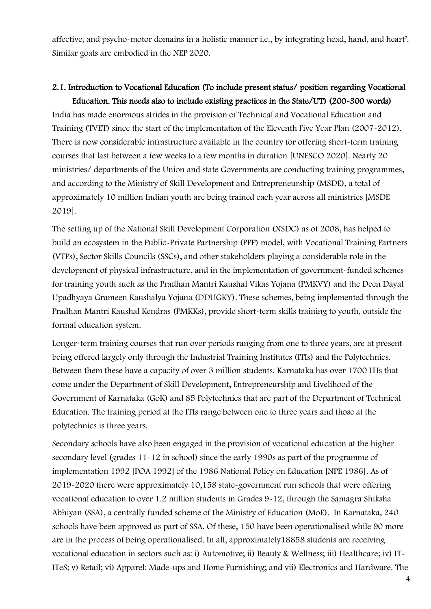affective, and psycho-motor domains in a holistic manner i.e., by integrating head, hand, and heart'. Similar goals are embodied in the NEP 2020.

# 2.1. Introduction to Vocational Education (To include present status/ position regarding Vocational

Education. This needs also to include existing practices in the State/UT) (200-300 words) India has made enormous strides in the provision of Technical and Vocational Education and Training (TVET) since the start of the implementation of the Eleventh Five Year Plan (2007-2012). There is now considerable infrastructure available in the country for offering short-term training courses that last between a few weeks to a few months in duration [UNESCO 2020]. Nearly 20 ministries/ departments of the Union and state Governments are conducting training programmes, and according to the Ministry of Skill Development and Entrepreneurship (MSDE), a total of approximately 10 million Indian youth are being trained each year across all ministries [MSDE 2019].

The setting up of the National Skill Development Corporation (NSDC) as of 2008, has helped to build an ecosystem in the Public-Private Partnership (PPP) model, with Vocational Training Partners (VTPs), Sector Skills Councils (SSCs), and other stakeholders playing a considerable role in the development of physical infrastructure, and in the implementation of government-funded schemes for training youth such as the Pradhan Mantri Kaushal Vikas Yojana (PMKVY) and the Deen Dayal Upadhyaya Grameen Kaushalya Yojana (DDUGKY). These schemes, being implemented through the Pradhan Mantri Kaushal Kendras (PMKKs), provide short-term skills training to youth, outside the formal education system.

Longer-term training courses that run over periods ranging from one to three years, are at present being offered largely only through the Industrial Training Institutes (ITIs) and the Polytechnics. Between them these have a capacity of over 3 million students. Karnataka has over 1700 ITIs that come under the Department of Skill Development, Entrepreneurship and Livelihood of the Government of Karnataka (GoK) and 85 Polytechnics that are part of the Department of Technical Education. The training period at the ITIs range between one to three years and those at the polytechnics is three years.

Secondary schools have also been engaged in the provision of vocational education at the higher secondary level (grades 11-12 in school) since the early 1990s as part of the programme of implementation 1992 [POA 1992] of the 1986 National Policy on Education [NPE 1986]. As of 2019-2020 there were approximately 10,158 state-government run schools that were offering vocational education to over 1.2 million students in Grades 9-12, through the Samagra Shiksha Abhiyan (SSA), a centrally funded scheme of the Ministry of Education (MoE). In Karnataka, 240 schools have been approved as part of SSA. Of these, 150 have been operationalised while 90 more are in the process of being operationalised. In all, approximately18858 students are receiving vocational education in sectors such as: i) Automotive; ii) Beauty & Wellness; iii) Healthcare; iv) IT-ITeS; v) Retail; vi) Apparel: Made-ups and Home Furnishing; and vii) Electronics and Hardware. The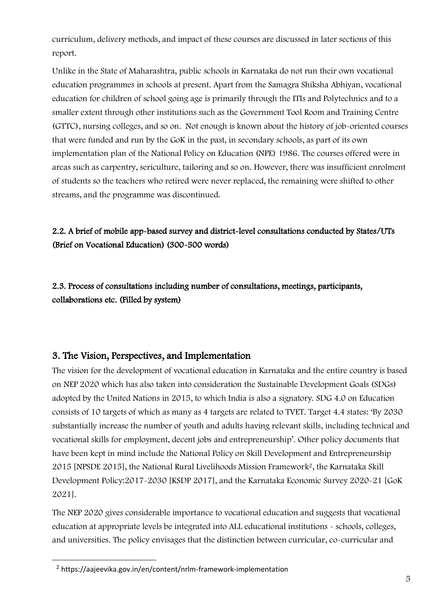curriculum, delivery methods, and impact of these courses are discussed in later sections of this report.

Unlike in the State of Maharashtra, public schools in Karnataka do not run their own vocational education programmes in schools at present. Apart from the Samagra Shiksha Abhiyan, vocational education for children of school going age is primarily through the ITIs and Polytechnics and to a smaller extent through other institutions such as the Government Tool Room and Training Centre (GTTC), nursing colleges, and so on. Not enough is known about the history of job-oriented courses that were funded and run by the GoK in the past, in secondary schools, as part of its own implementation plan of the National Policy on Education (NPE) 1986. The courses offered were in areas such as carpentry, sericulture, tailoring and so on. However, there was insufficient enrolment of students so the teachers who retired were never replaced, the remaining were shifted to other streams, and the programme was discontinued.

## 2.2. A brief of mobile app-based survey and district-level consultations conducted by States/UTs (Brief on Vocational Education) (300-500 words)

2.3. Process of consultations including number of consultations, meetings, participants, collaborations etc. (Filled by system)

## 3. The Vision, Perspectives, and Implementation

The vision for the development of vocational education in Karnataka and the entire country is based on NEP 2020 which has also taken into consideration the Sustainable Development Goals (SDGs) adopted by the United Nations in 2015, to which India is also a signatory. SDG 4.0 on Education consists of 10 targets of which as many as 4 targets are related to TVET. Target 4.4 states: 'By 2030 substantially increase the number of youth and adults having relevant skills, including technical and vocational skills for employment, decent jobs and entrepreneurship'. Other policy documents that have been kept in mind include the National Policy on Skill Development and Entrepreneurship 2015 [NPSDE 2015], the National Rural Livelihoods Mission Framework2, the Karnataka Skill Development Policy:2017-2030 [KSDP 2017], and the Karnataka Economic Survey 2020-21 [GoK 2021].

The NEP 2020 gives considerable importance to vocational education and suggests that vocational education at appropriate levels be integrated into ALL educational institutions - schools, colleges, and universities. The policy envisages that the distinction between curricular, co-curricular and

<sup>2</sup> https://aajeevika.gov.in/en/content/nrlm-framework-implementation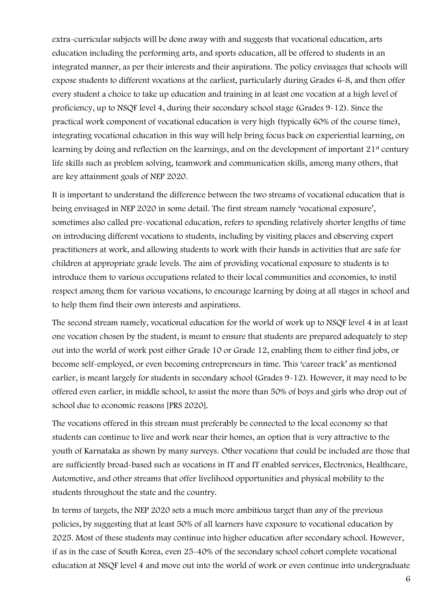extra-curricular subjects will be done away with and suggests that vocational education, arts education including the performing arts, and sports education, all be offered to students in an integrated manner, as per their interests and their aspirations. The policy envisages that schools will expose students to different vocations at the earliest, particularly during Grades 6-8, and then offer every student a choice to take up education and training in at least one vocation at a high level of proficiency, up to NSQF level 4, during their secondary school stage (Grades 9-12). Since the practical work component of vocational education is very high (typically 60% of the course time), integrating vocational education in this way will help bring focus back on experiential learning, on learning by doing and reflection on the learnings, and on the development of important 21<sup>st</sup> century life skills such as problem solving, teamwork and communication skills, among many others, that are key attainment goals of NEP 2020.

It is important to understand the difference between the two streams of vocational education that is being envisaged in NEP 2020 in some detail. The first stream namely 'vocational exposure', sometimes also called pre-vocational education, refers to spending relatively shorter lengths of time on introducing different vocations to students, including by visiting places and observing expert practitioners at work, and allowing students to work with their hands in activities that are safe for children at appropriate grade levels. The aim of providing vocational exposure to students is to introduce them to various occupations related to their local communities and economies, to instil respect among them for various vocations, to encourage learning by doing at all stages in school and to help them find their own interests and aspirations.

The second stream namely, vocational education for the world of work up to NSQF level 4 in at least one vocation chosen by the student, is meant to ensure that students are prepared adequately to step out into the world of work post either Grade 10 or Grade 12, enabling them to either find jobs, or become self-employed, or even becoming entrepreneurs in time. This 'career track' as mentioned earlier, is meant largely for students in secondary school (Grades 9-12). However, it may need to be offered even earlier, in middle school, to assist the more than 50% of boys and girls who drop out of school due to economic reasons [PRS 2020].

The vocations offered in this stream must preferably be connected to the local economy so that students can continue to live and work near their homes, an option that is very attractive to the youth of Karnataka as shown by many surveys. Other vocations that could be included are those that are sufficiently broad-based such as vocations in IT and IT enabled services, Electronics, Healthcare, Automotive, and other streams that offer livelihood opportunities and physical mobility to the students throughout the state and the country.

In terms of targets, the NEP 2020 sets a much more ambitious target than any of the previous policies, by suggesting that at least 50% of all learners have exposure to vocational education by 2025. Most of these students may continue into higher education after secondary school. However, if as in the case of South Korea, even 25-40% of the secondary school cohort complete vocational education at NSQF level 4 and move out into the world of work or even continue into undergraduate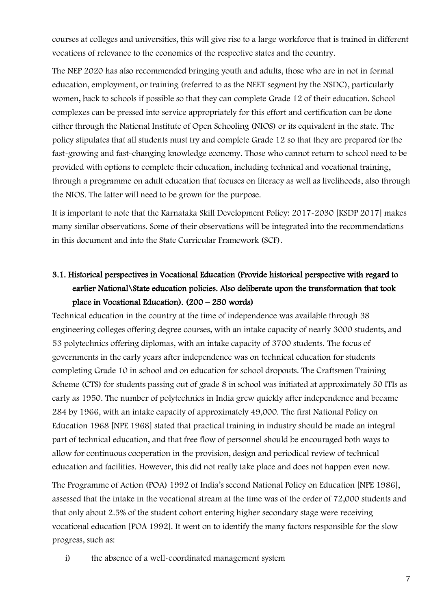courses at colleges and universities, this will give rise to a large workforce that is trained in different vocations of relevance to the economies of the respective states and the country.

The NEP 2020 has also recommended bringing youth and adults, those who are in not in formal education, employment, or training (referred to as the NEET segment by the NSDC), particularly women, back to schools if possible so that they can complete Grade 12 of their education. School complexes can be pressed into service appropriately for this effort and certification can be done either through the National Institute of Open Schooling (NIOS) or its equivalent in the state. The policy stipulates that all students must try and complete Grade 12 so that they are prepared for the fast-growing and fast-changing knowledge economy. Those who cannot return to school need to be provided with options to complete their education, including technical and vocational training, through a programme on adult education that focuses on literacy as well as livelihoods, also through the NIOS. The latter will need to be grown for the purpose.

It is important to note that the Karnataka Skill Development Policy: 2017-2030 [KSDP 2017] makes many similar observations. Some of their observations will be integrated into the recommendations in this document and into the State Curricular Framework (SCF).

# 3.1. Historical perspectives in Vocational Education (Provide historical perspective with regard to earlier National\State education policies. Also deliberate upon the transformation that took place in Vocational Education). (200 – 250 words)

Technical education in the country at the time of independence was available through 38 engineering colleges offering degree courses, with an intake capacity of nearly 3000 students, and 53 polytechnics offering diplomas, with an intake capacity of 3700 students. The focus of governments in the early years after independence was on technical education for students completing Grade 10 in school and on education for school dropouts. The Craftsmen Training Scheme (CTS) for students passing out of grade 8 in school was initiated at approximately 50 ITIs as early as 1950. The number of polytechnics in India grew quickly after independence and became 284 by 1966, with an intake capacity of approximately 49,000. The first National Policy on Education 1968 [NPE 1968] stated that practical training in industry should be made an integral part of technical education, and that free flow of personnel should be encouraged both ways to allow for continuous cooperation in the provision, design and periodical review of technical education and facilities. However, this did not really take place and does not happen even now.

The Programme of Action (POA) 1992 of India's second National Policy on Education [NPE 1986], assessed that the intake in the vocational stream at the time was of the order of 72,000 students and that only about 2.5% of the student cohort entering higher secondary stage were receiving vocational education [POA 1992]. It went on to identify the many factors responsible for the slow progress, such as:

i) the absence of a well-coordinated management system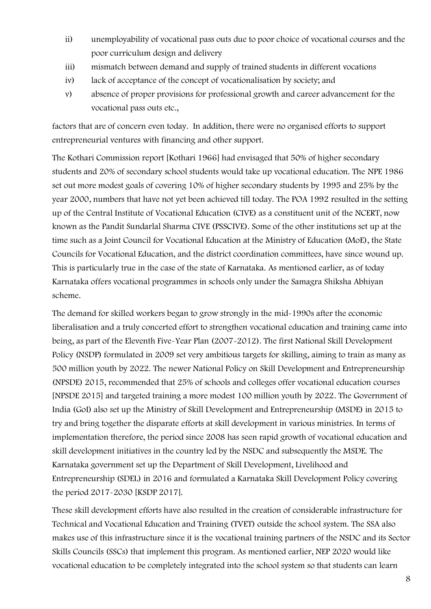- ii) unemployability of vocational pass outs due to poor choice of vocational courses and the poor curriculum design and delivery
- iii) mismatch between demand and supply of trained students in different vocations
- iv) lack of acceptance of the concept of vocationalisation by society; and
- v) absence of proper provisions for professional growth and career advancement for the vocational pass outs etc.,

factors that are of concern even today. In addition, there were no organised efforts to support entrepreneurial ventures with financing and other support.

The Kothari Commission report [Kothari 1966] had envisaged that 50% of higher secondary students and 20% of secondary school students would take up vocational education. The NPE 1986 set out more modest goals of covering 10% of higher secondary students by 1995 and 25% by the year 2000, numbers that have not yet been achieved till today. The POA 1992 resulted in the setting up of the Central Institute of Vocational Education (CIVE) as a constituent unit of the NCERT, now known as the Pandit Sundarlal Sharma CIVE (PSSCIVE). Some of the other institutions set up at the time such as a Joint Council for Vocational Education at the Ministry of Education (MoE), the State Councils for Vocational Education, and the district coordination committees, have since wound up. This is particularly true in the case of the state of Karnataka. As mentioned earlier, as of today Karnataka offers vocational programmes in schools only under the Samagra Shiksha Abhiyan scheme.

The demand for skilled workers began to grow strongly in the mid-1990s after the economic liberalisation and a truly concerted effort to strengthen vocational education and training came into being, as part of the Eleventh Five-Year Plan (2007-2012). The first National Skill Development Policy (NSDP) formulated in 2009 set very ambitious targets for skilling, aiming to train as many as 500 million youth by 2022. The newer National Policy on Skill Development and Entrepreneurship (NPSDE) 2015, recommended that 25% of schools and colleges offer vocational education courses [NPSDE 2015] and targeted training a more modest 100 million youth by 2022. The Government of India (GoI) also set up the Ministry of Skill Development and Entrepreneurship (MSDE) in 2015 to try and bring together the disparate efforts at skill development in various ministries. In terms of implementation therefore, the period since 2008 has seen rapid growth of vocational education and skill development initiatives in the country led by the NSDC and subsequently the MSDE. The Karnataka government set up the Department of Skill Development, Livelihood and Entrepreneurship (SDEL) in 2016 and formulated a Karnataka Skill Development Policy covering the period 2017-2030 [KSDP 2017].

These skill development efforts have also resulted in the creation of considerable infrastructure for Technical and Vocational Education and Training (TVET) outside the school system. The SSA also makes use of this infrastructure since it is the vocational training partners of the NSDC and its Sector Skills Councils (SSCs) that implement this program. As mentioned earlier, NEP 2020 would like vocational education to be completely integrated into the school system so that students can learn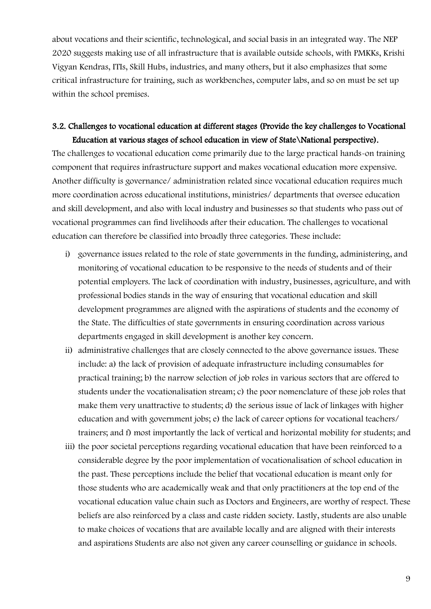about vocations and their scientific, technological, and social basis in an integrated way. The NEP 2020 suggests making use of all infrastructure that is available outside schools, with PMKKs, Krishi Vigyan Kendras, ITIs, Skill Hubs, industries, and many others, but it also emphasizes that some critical infrastructure for training, such as workbenches, computer labs, and so on must be set up within the school premises.

## 3.2. Challenges to vocational education at different stages (Provide the key challenges to Vocational Education at various stages of school education in view of State\National perspective).

The challenges to vocational education come primarily due to the large practical hands-on training component that requires infrastructure support and makes vocational education more expensive. Another difficulty is governance/ administration related since vocational education requires much more coordination across educational institutions, ministries/ departments that oversee education and skill development, and also with local industry and businesses so that students who pass out of vocational programmes can find livelihoods after their education. The challenges to vocational education can therefore be classified into broadly three categories. These include:

- i) governance issues related to the role of state governments in the funding, administering, and monitoring of vocational education to be responsive to the needs of students and of their potential employers. The lack of coordination with industry, businesses, agriculture, and with professional bodies stands in the way of ensuring that vocational education and skill development programmes are aligned with the aspirations of students and the economy of the State. The difficulties of state governments in ensuring coordination across various departments engaged in skill development is another key concern.
- ii) administrative challenges that are closely connected to the above governance issues. These include: a) the lack of provision of adequate infrastructure including consumables for practical training; b) the narrow selection of job roles in various sectors that are offered to students under the vocationalisation stream; c) the poor nomenclature of these job roles that make them very unattractive to students; d) the serious issue of lack of linkages with higher education and with government jobs; e) the lack of career options for vocational teachers/ trainers; and f) most importantly the lack of vertical and horizontal mobility for students; and
- iii) the poor societal perceptions regarding vocational education that have been reinforced to a considerable degree by the poor implementation of vocationalisation of school education in the past. These perceptions include the belief that vocational education is meant only for those students who are academically weak and that only practitioners at the top end of the vocational education value chain such as Doctors and Engineers, are worthy of respect. These beliefs are also reinforced by a class and caste ridden society. Lastly, students are also unable to make choices of vocations that are available locally and are aligned with their interests and aspirations Students are also not given any career counselling or guidance in schools.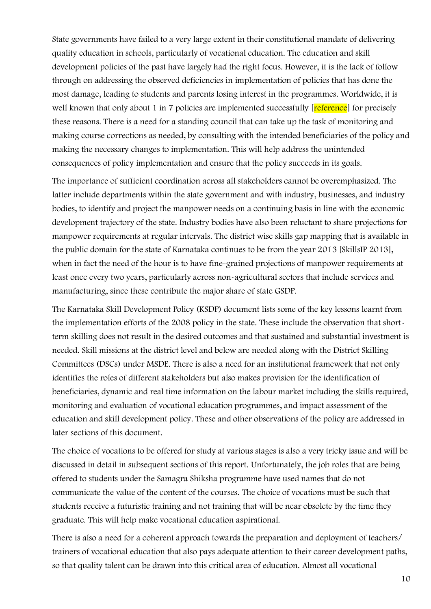State governments have failed to a very large extent in their constitutional mandate of delivering quality education in schools, particularly of vocational education. The education and skill development policies of the past have largely had the right focus. However, it is the lack of follow through on addressing the observed deficiencies in implementation of policies that has done the most damage, leading to students and parents losing interest in the programmes. Worldwide, it is well known that only about 1 in 7 policies are implemented successfully reference for precisely these reasons. There is a need for a standing council that can take up the task of monitoring and making course corrections as needed, by consulting with the intended beneficiaries of the policy and making the necessary changes to implementation. This will help address the unintended consequences of policy implementation and ensure that the policy succeeds in its goals.

The importance of sufficient coordination across all stakeholders cannot be overemphasized. The latter include departments within the state government and with industry, businesses, and industry bodies, to identify and project the manpower needs on a continuing basis in line with the economic development trajectory of the state. Industry bodies have also been reluctant to share projections for manpower requirements at regular intervals. The district wise skills gap mapping that is available in the public domain for the state of Karnataka continues to be from the year 2013 [SkillsIP 2013], when in fact the need of the hour is to have fine-grained projections of manpower requirements at least once every two years, particularly across non-agricultural sectors that include services and manufacturing, since these contribute the major share of state GSDP.

The Karnataka Skill Development Policy (KSDP) document lists some of the key lessons learnt from the implementation efforts of the 2008 policy in the state. These include the observation that shortterm skilling does not result in the desired outcomes and that sustained and substantial investment is needed. Skill missions at the district level and below are needed along with the District Skilling Committees (DSCs) under MSDE. There is also a need for an institutional framework that not only identifies the roles of different stakeholders but also makes provision for the identification of beneficiaries, dynamic and real time information on the labour market including the skills required, monitoring and evaluation of vocational education programmes, and impact assessment of the education and skill development policy. These and other observations of the policy are addressed in later sections of this document.

The choice of vocations to be offered for study at various stages is also a very tricky issue and will be discussed in detail in subsequent sections of this report. Unfortunately, the job roles that are being offered to students under the Samagra Shiksha programme have used names that do not communicate the value of the content of the courses. The choice of vocations must be such that students receive a futuristic training and not training that will be near obsolete by the time they graduate. This will help make vocational education aspirational.

There is also a need for a coherent approach towards the preparation and deployment of teachers/ trainers of vocational education that also pays adequate attention to their career development paths, so that quality talent can be drawn into this critical area of education. Almost all vocational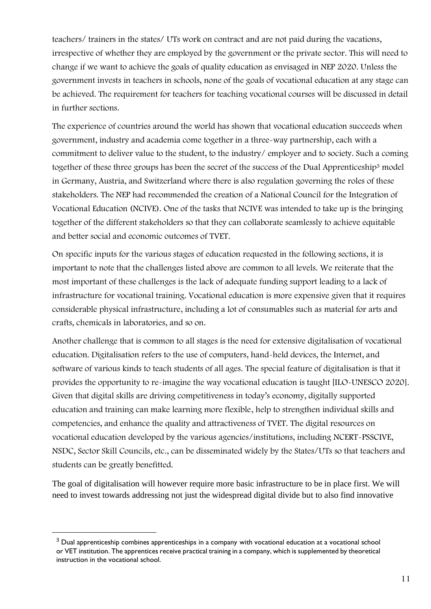teachers/ trainers in the states/ UTs work on contract and are not paid during the vacations, irrespective of whether they are employed by the government or the private sector. This will need to change if we want to achieve the goals of quality education as envisaged in NEP 2020. Unless the government invests in teachers in schools, none of the goals of vocational education at any stage can be achieved. The requirement for teachers for teaching vocational courses will be discussed in detail in further sections.

The experience of countries around the world has shown that vocational education succeeds when government, industry and academia come together in a three-way partnership, each with a commitment to deliver value to the student, to the industry/ employer and to society. Such a coming together of these three groups has been the secret of the success of the Dual Apprenticeship<sup>3</sup> model in Germany, Austria, and Switzerland where there is also regulation governing the roles of these stakeholders. The NEP had recommended the creation of a National Council for the Integration of Vocational Education (NCIVE). One of the tasks that NCIVE was intended to take up is the bringing together of the different stakeholders so that they can collaborate seamlessly to achieve equitable and better social and economic outcomes of TVET.

On specific inputs for the various stages of education requested in the following sections, it is important to note that the challenges listed above are common to all levels. We reiterate that the most important of these challenges is the lack of adequate funding support leading to a lack of infrastructure for vocational training. Vocational education is more expensive given that it requires considerable physical infrastructure, including a lot of consumables such as material for arts and crafts, chemicals in laboratories, and so on.

Another challenge that is common to all stages is the need for extensive digitalisation of vocational education. Digitalisation refers to the use of computers, hand-held devices, the Internet, and software of various kinds to teach students of all ages. The special feature of digitalisation is that it provides the opportunity to re-imagine the way vocational education is taught [ILO-UNESCO 2020]. Given that digital skills are driving competitiveness in today's economy, digitally supported education and training can make learning more flexible, help to strengthen individual skills and competencies, and enhance the quality and attractiveness of TVET. The digital resources on vocational education developed by the various agencies/institutions, including NCERT-PSSCIVE, NSDC, Sector Skill Councils, etc., can be disseminated widely by the States/UTs so that teachers and students can be greatly benefitted.

The goal of digitalisation will however require more basic infrastructure to be in place first. We will need to invest towards addressing not just the widespread digital divide but to also find innovative

<sup>&</sup>lt;sup>3</sup> Dual apprenticeship combines apprenticeships in a company with vocational education at a vocational school or VET institution. The apprentices receive practical training in a company, which is supplemented by theoretical instruction in the vocational school.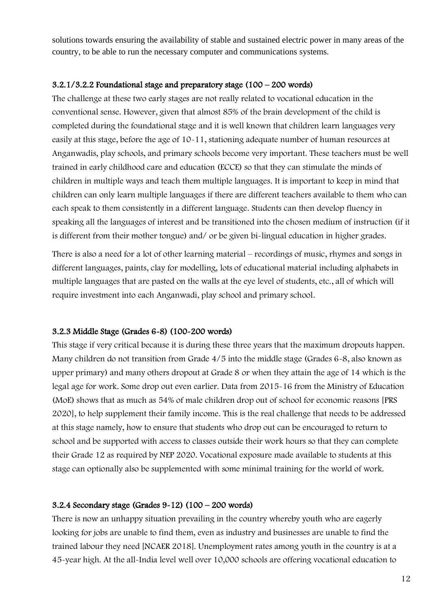solutions towards ensuring the availability of stable and sustained electric power in many areas of the country, to be able to run the necessary computer and communications systems.

#### $3.2.1/3.2.2$  Foundational stage and preparatory stage (100 – 200 words)

The challenge at these two early stages are not really related to vocational education in the conventional sense. However, given that almost 85% of the brain development of the child is completed during the foundational stage and it is well known that children learn languages very easily at this stage, before the age of 10-11, stationing adequate number of human resources at Anganwadis, play schools, and primary schools become very important. These teachers must be well trained in early childhood care and education (ECCE) so that they can stimulate the minds of children in multiple ways and teach them multiple languages. It is important to keep in mind that children can only learn multiple languages if there are different teachers available to them who can each speak to them consistently in a different language. Students can then develop fluency in speaking all the languages of interest and be transitioned into the chosen medium of instruction (if it is different from their mother tongue) and/ or be given bi-lingual education in higher grades.

There is also a need for a lot of other learning material – recordings of music, rhymes and songs in different languages, paints, clay for modelling, lots of educational material including alphabets in multiple languages that are pasted on the walls at the eye level of students, etc., all of which will require investment into each Anganwadi, play school and primary school.

#### 3.2.3 Middle Stage (Grades 6-8) (100-200 words)

This stage if very critical because it is during these three years that the maximum dropouts happen. Many children do not transition from Grade 4/5 into the middle stage (Grades 6-8, also known as upper primary) and many others dropout at Grade 8 or when they attain the age of 14 which is the legal age for work. Some drop out even earlier. Data from 2015-16 from the Ministry of Education (MoE) shows that as much as 54% of male children drop out of school for economic reasons [PRS 2020], to help supplement their family income. This is the real challenge that needs to be addressed at this stage namely, how to ensure that students who drop out can be encouraged to return to school and be supported with access to classes outside their work hours so that they can complete their Grade 12 as required by NEP 2020. Vocational exposure made available to students at this stage can optionally also be supplemented with some minimal training for the world of work.

#### 3.2.4 Secondary stage (Grades 9-12) (100 – 200 words)

There is now an unhappy situation prevailing in the country whereby youth who are eagerly looking for jobs are unable to find them, even as industry and businesses are unable to find the trained labour they need [NCAER 2018]. Unemployment rates among youth in the country is at a 45-year high. At the all-India level well over 10,000 schools are offering vocational education to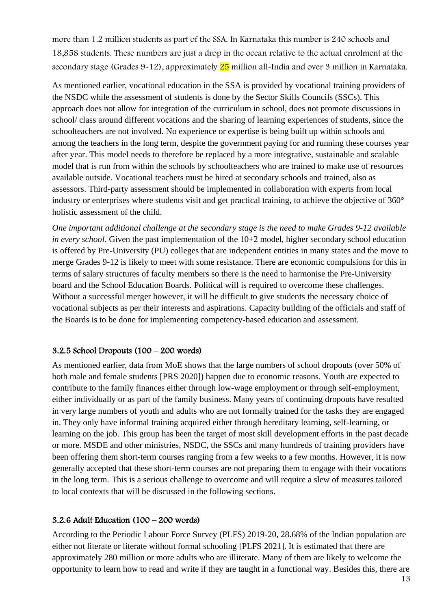more than 1.2 million students as part of the SSA. In Karnataka this number is 240 schools and 18,858 students. These numbers are just a drop in the ocean relative to the actual enrolment at the secondary stage (Grades  $9-12$ ), approximately  $25$  million all-India and over 3 million in Karnataka.

As mentioned earlier, vocational education in the SSA is provided by vocational training providers of the NSDC while the assessment of students is done by the Sector Skills Councils (SSCs). This approach does not allow for integration of the curriculum in school, does not promote discussions in school/ class around different vocations and the sharing of learning experiences of students, since the schoolteachers are not involved. No experience or expertise is being built up within schools and among the teachers in the long term, despite the government paying for and running these courses year after year. This model needs to therefore be replaced by a more integrative, sustainable and scalable model that is run from within the schools by schoolteachers who are trained to make use of resources available outside. Vocational teachers must be hired at secondary schools and trained, also as assessors. Third-party assessment should be implemented in collaboration with experts from local industry or enterprises where students visit and get practical training, to achieve the objective of 360° holistic assessment of the child.

*One important additional challenge at the secondary stage is the need to make Grades 9-12 available in every school.* Given the past implementation of the 10+2 model, higher secondary school education is offered by Pre-University (PU) colleges that are independent entities in many states and the move to merge Grades 9-12 is likely to meet with some resistance. There are economic compulsions for this in terms of salary structures of faculty members so there is the need to harmonise the Pre-University board and the School Education Boards. Political will is required to overcome these challenges. Without a successful merger however, it will be difficult to give students the necessary choice of vocational subjects as per their interests and aspirations. Capacity building of the officials and staff of the Boards is to be done for implementing competency-based education and assessment.

## 3.2.5 School Dropouts (100 – 200 words)

As mentioned earlier, data from MoE shows that the large numbers of school dropouts (over 50% of both male and female students [PRS 2020]) happen due to economic reasons. Youth are expected to contribute to the family finances either through low-wage employment or through self-employment, either individually or as part of the family business. Many years of continuing dropouts have resulted in very large numbers of youth and adults who are not formally trained for the tasks they are engaged in. They only have informal training acquired either through hereditary learning, self-learning, or learning on the job. This group has been the target of most skill development efforts in the past decade or more. MSDE and other ministries, NSDC, the SSCs and many hundreds of training providers have been offering them short-term courses ranging from a few weeks to a few months. However, it is now generally accepted that these short-term courses are not preparing them to engage with their vocations in the long term. This is a serious challenge to overcome and will require a slew of measures tailored to local contexts that will be discussed in the following sections.

#### 3.2.6 Adult Education (100 – 200 words)

According to the Periodic Labour Force Survey (PLFS) 2019-20, 28.68% of the Indian population are either not literate or literate without formal schooling [PLFS 2021]. It is estimated that there are approximately 280 million or more adults who are illiterate. Many of them are likely to welcome the opportunity to learn how to read and write if they are taught in a functional way. Besides this, there are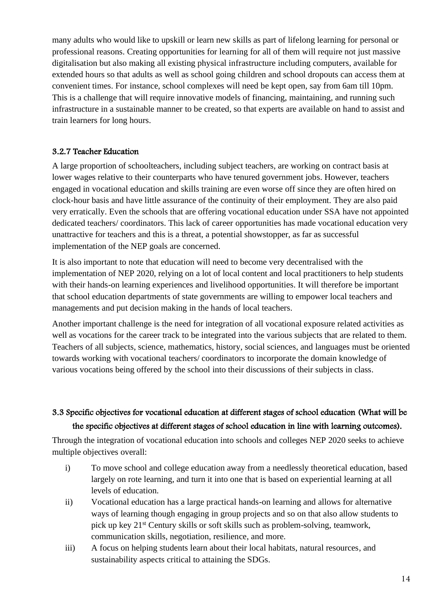many adults who would like to upskill or learn new skills as part of lifelong learning for personal or professional reasons. Creating opportunities for learning for all of them will require not just massive digitalisation but also making all existing physical infrastructure including computers, available for extended hours so that adults as well as school going children and school dropouts can access them at convenient times. For instance, school complexes will need be kept open, say from 6am till 10pm. This is a challenge that will require innovative models of financing, maintaining, and running such infrastructure in a sustainable manner to be created, so that experts are available on hand to assist and train learners for long hours.

## 3.2.7 Teacher Education

A large proportion of schoolteachers, including subject teachers, are working on contract basis at lower wages relative to their counterparts who have tenured government jobs. However, teachers engaged in vocational education and skills training are even worse off since they are often hired on clock-hour basis and have little assurance of the continuity of their employment. They are also paid very erratically. Even the schools that are offering vocational education under SSA have not appointed dedicated teachers/ coordinators. This lack of career opportunities has made vocational education very unattractive for teachers and this is a threat, a potential showstopper, as far as successful implementation of the NEP goals are concerned.

It is also important to note that education will need to become very decentralised with the implementation of NEP 2020, relying on a lot of local content and local practitioners to help students with their hands-on learning experiences and livelihood opportunities. It will therefore be important that school education departments of state governments are willing to empower local teachers and managements and put decision making in the hands of local teachers.

Another important challenge is the need for integration of all vocational exposure related activities as well as vocations for the career track to be integrated into the various subjects that are related to them. Teachers of all subjects, science, mathematics, history, social sciences, and languages must be oriented towards working with vocational teachers/ coordinators to incorporate the domain knowledge of various vocations being offered by the school into their discussions of their subjects in class.

# 3.3 Specific objectives for vocational education at different stages of school education (What will be the specific objectives at different stages of school education in line with learning outcomes).

Through the integration of vocational education into schools and colleges NEP 2020 seeks to achieve multiple objectives overall:

- i) To move school and college education away from a needlessly theoretical education, based largely on rote learning, and turn it into one that is based on experiential learning at all levels of education.
- ii) Vocational education has a large practical hands-on learning and allows for alternative ways of learning though engaging in group projects and so on that also allow students to pick up key 21st Century skills or soft skills such as problem-solving, teamwork, communication skills, negotiation, resilience, and more.
- iii) A focus on helping students learn about their local habitats, natural resources, and sustainability aspects critical to attaining the SDGs.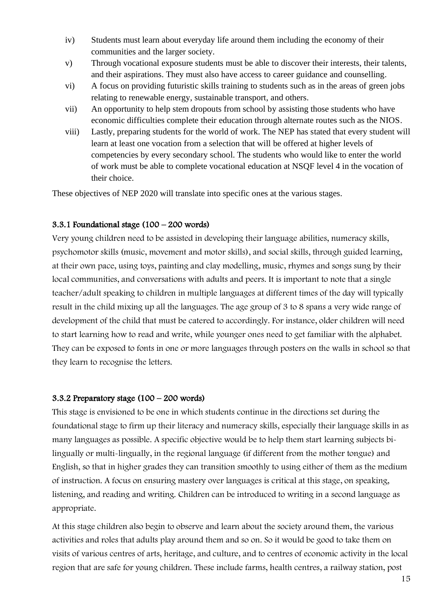- iv) Students must learn about everyday life around them including the economy of their communities and the larger society.
- v) Through vocational exposure students must be able to discover their interests, their talents, and their aspirations. They must also have access to career guidance and counselling.
- vi) A focus on providing futuristic skills training to students such as in the areas of green jobs relating to renewable energy, sustainable transport, and others.
- vii) An opportunity to help stem dropouts from school by assisting those students who have economic difficulties complete their education through alternate routes such as the NIOS.
- viii) Lastly, preparing students for the world of work. The NEP has stated that every student will learn at least one vocation from a selection that will be offered at higher levels of competencies by every secondary school. The students who would like to enter the world of work must be able to complete vocational education at NSQF level 4 in the vocation of their choice.

These objectives of NEP 2020 will translate into specific ones at the various stages.

### 3.3.1 Foundational stage (100 – 200 words)

Very young children need to be assisted in developing their language abilities, numeracy skills, psychomotor skills (music, movement and motor skills), and social skills, through guided learning, at their own pace, using toys, painting and clay modelling, music, rhymes and songs sung by their local communities, and conversations with adults and peers. It is important to note that a single teacher/adult speaking to children in multiple languages at different times of the day will typically result in the child mixing up all the languages. The age group of 3 to 8 spans a very wide range of development of the child that must be catered to accordingly. For instance, older children will need to start learning how to read and write, while younger ones need to get familiar with the alphabet. They can be exposed to fonts in one or more languages through posters on the walls in school so that they learn to recognise the letters.

#### 3.3.2 Preparatory stage (100 – 200 words)

This stage is envisioned to be one in which students continue in the directions set during the foundational stage to firm up their literacy and numeracy skills, especially their language skills in as many languages as possible. A specific objective would be to help them start learning subjects bilingually or multi-lingually, in the regional language (if different from the mother tongue) and English, so that in higher grades they can transition smoothly to using either of them as the medium of instruction. A focus on ensuring mastery over languages is critical at this stage, on speaking, listening, and reading and writing. Children can be introduced to writing in a second language as appropriate.

At this stage children also begin to observe and learn about the society around them, the various activities and roles that adults play around them and so on. So it would be good to take them on visits of various centres of arts, heritage, and culture, and to centres of economic activity in the local region that are safe for young children. These include farms, health centres, a railway station, post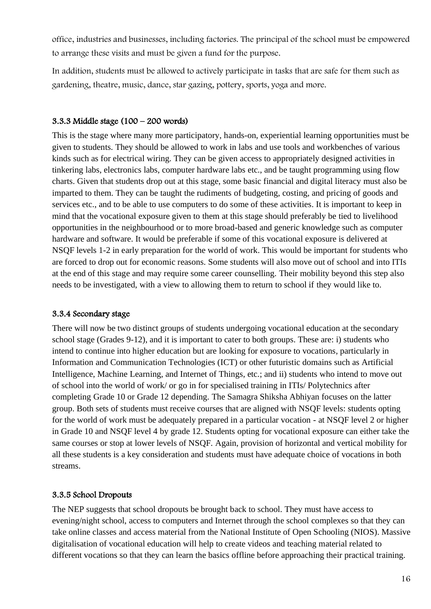office, industries and businesses, including factories. The principal of the school must be empowered to arrange these visits and must be given a fund for the purpose.

In addition, students must be allowed to actively participate in tasks that are safe for them such as gardening, theatre, music, dance, star gazing, pottery, sports, yoga and more.

### 3.3.3 Middle stage (100 – 200 words)

This is the stage where many more participatory, hands-on, experiential learning opportunities must be given to students. They should be allowed to work in labs and use tools and workbenches of various kinds such as for electrical wiring. They can be given access to appropriately designed activities in tinkering labs, electronics labs, computer hardware labs etc., and be taught programming using flow charts. Given that students drop out at this stage, some basic financial and digital literacy must also be imparted to them. They can be taught the rudiments of budgeting, costing, and pricing of goods and services etc., and to be able to use computers to do some of these activities. It is important to keep in mind that the vocational exposure given to them at this stage should preferably be tied to livelihood opportunities in the neighbourhood or to more broad-based and generic knowledge such as computer hardware and software. It would be preferable if some of this vocational exposure is delivered at NSQF levels 1-2 in early preparation for the world of work. This would be important for students who are forced to drop out for economic reasons. Some students will also move out of school and into ITIs at the end of this stage and may require some career counselling. Their mobility beyond this step also needs to be investigated, with a view to allowing them to return to school if they would like to.

#### 3.3.4 Secondary stage

There will now be two distinct groups of students undergoing vocational education at the secondary school stage (Grades 9-12), and it is important to cater to both groups. These are: i) students who intend to continue into higher education but are looking for exposure to vocations, particularly in Information and Communication Technologies (ICT) or other futuristic domains such as Artificial Intelligence, Machine Learning, and Internet of Things, etc.; and ii) students who intend to move out of school into the world of work/ or go in for specialised training in ITIs/ Polytechnics after completing Grade 10 or Grade 12 depending. The Samagra Shiksha Abhiyan focuses on the latter group. Both sets of students must receive courses that are aligned with NSQF levels: students opting for the world of work must be adequately prepared in a particular vocation - at NSQF level 2 or higher in Grade 10 and NSQF level 4 by grade 12. Students opting for vocational exposure can either take the same courses or stop at lower levels of NSQF. Again, provision of horizontal and vertical mobility for all these students is a key consideration and students must have adequate choice of vocations in both streams.

## 3.3.5 School Dropouts

The NEP suggests that school dropouts be brought back to school. They must have access to evening/night school, access to computers and Internet through the school complexes so that they can take online classes and access material from the National Institute of Open Schooling (NIOS). Massive digitalisation of vocational education will help to create videos and teaching material related to different vocations so that they can learn the basics offline before approaching their practical training.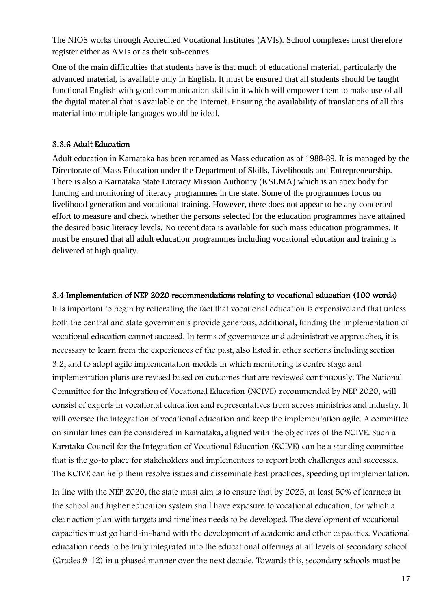The NIOS works through Accredited Vocational Institutes (AVIs). School complexes must therefore register either as AVIs or as their sub-centres.

One of the main difficulties that students have is that much of educational material, particularly the advanced material, is available only in English. It must be ensured that all students should be taught functional English with good communication skills in it which will empower them to make use of all the digital material that is available on the Internet. Ensuring the availability of translations of all this material into multiple languages would be ideal.

#### 3.3.6 Adult Education

Adult education in Karnataka has been renamed as Mass education as of 1988-89. It is managed by the Directorate of Mass Education under the Department of Skills, Livelihoods and Entrepreneurship. There is also a Karnataka State Literacy Mission Authority (KSLMA) which is an apex body for funding and monitoring of literacy programmes in the state. Some of the programmes focus on livelihood generation and vocational training. However, there does not appear to be any concerted effort to measure and check whether the persons selected for the education programmes have attained the desired basic literacy levels. No recent data is available for such mass education programmes. It must be ensured that all adult education programmes including vocational education and training is delivered at high quality.

#### 3.4 Implementation of NEP 2020 recommendations relating to vocational education (100 words)

It is important to begin by reiterating the fact that vocational education is expensive and that unless both the central and state governments provide generous, additional, funding the implementation of vocational education cannot succeed. In terms of governance and administrative approaches, it is necessary to learn from the experiences of the past, also listed in other sections including section 3.2, and to adopt agile implementation models in which monitoring is centre stage and implementation plans are revised based on outcomes that are reviewed continuously. The National Committee for the Integration of Vocational Education (NCIVE) recommended by NEP 2020, will consist of experts in vocational education and representatives from across ministries and industry. It will oversee the integration of vocational education and keep the implementation agile. A committee on similar lines can be considered in Karnataka, aligned with the objectives of the NCIVE. Such a Karntaka Council for the Integration of Vocational Education (KCIVE) can be a standing committee that is the go-to place for stakeholders and implementers to report both challenges and successes. The KCIVE can help them resolve issues and disseminate best practices, speeding up implementation.

In line with the NEP 2020, the state must aim is to ensure that by 2025, at least 50% of learners in the school and higher education system shall have exposure to vocational education, for which a clear action plan with targets and timelines needs to be developed. The development of vocational capacities must go hand-in-hand with the development of academic and other capacities. Vocational education needs to be truly integrated into the educational offerings at all levels of secondary school (Grades 9-12) in a phased manner over the next decade. Towards this, secondary schools must be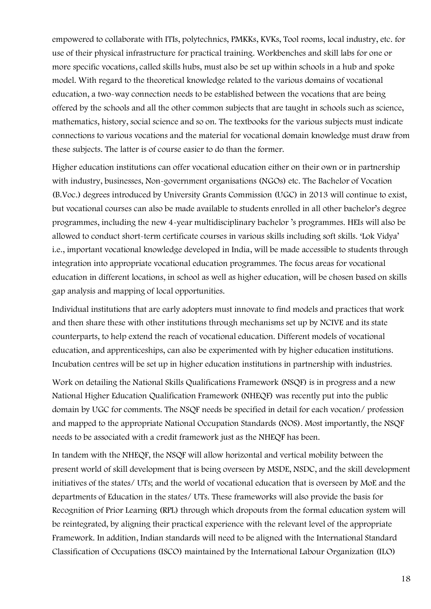empowered to collaborate with ITIs, polytechnics, PMKKs, KVKs, Tool rooms, local industry, etc. for use of their physical infrastructure for practical training. Workbenches and skill labs for one or more specific vocations, called skills hubs, must also be set up within schools in a hub and spoke model. With regard to the theoretical knowledge related to the various domains of vocational education, a two-way connection needs to be established between the vocations that are being offered by the schools and all the other common subjects that are taught in schools such as science, mathematics, history, social science and so on. The textbooks for the various subjects must indicate connections to various vocations and the material for vocational domain knowledge must draw from these subjects. The latter is of course easier to do than the former.

Higher education institutions can offer vocational education either on their own or in partnership with industry, businesses, Non-government organisations (NGOs) etc. The Bachelor of Vocation (B.Voc.) degrees introduced by University Grants Commission (UGC) in 2013 will continue to exist, but vocational courses can also be made available to students enrolled in all other bachelor's degree programmes, including the new 4-year multidisciplinary bachelor 's programmes. HEIs will also be allowed to conduct short-term certificate courses in various skills including soft skills. 'Lok Vidya' i.e., important vocational knowledge developed in India, will be made accessible to students through integration into appropriate vocational education programmes. The focus areas for vocational education in different locations, in school as well as higher education, will be chosen based on skills gap analysis and mapping of local opportunities.

Individual institutions that are early adopters must innovate to find models and practices that work and then share these with other institutions through mechanisms set up by NCIVE and its state counterparts, to help extend the reach of vocational education. Different models of vocational education, and apprenticeships, can also be experimented with by higher education institutions. Incubation centres will be set up in higher education institutions in partnership with industries.

Work on detailing the National Skills Qualifications Framework (NSQF) is in progress and a new National Higher Education Qualification Framework (NHEQF) was recently put into the public domain by UGC for comments. The NSQF needs be specified in detail for each vocation/ profession and mapped to the appropriate National Occupation Standards (NOS). Most importantly, the NSQF needs to be associated with a credit framework just as the NHEQF has been.

In tandem with the NHEQF, the NSQF will allow horizontal and vertical mobility between the present world of skill development that is being overseen by MSDE, NSDC, and the skill development initiatives of the states/ UTs; and the world of vocational education that is overseen by MoE and the departments of Education in the states/ UTs. These frameworks will also provide the basis for Recognition of Prior Learning (RPL) through which dropouts from the formal education system will be reintegrated, by aligning their practical experience with the relevant level of the appropriate Framework. In addition, Indian standards will need to be aligned with the International Standard Classification of Occupations (ISCO) maintained by the International Labour Organization (ILO)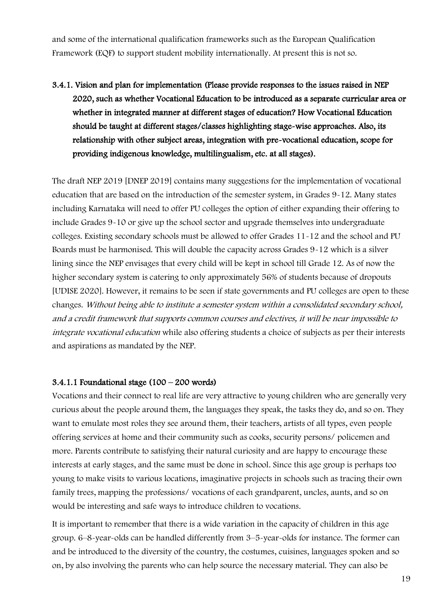and some of the international qualification frameworks such as the European Qualification Framework (EQF) to support student mobility internationally. At present this is not so.

3.4.1. Vision and plan for implementation (Please provide responses to the issues raised in NEP 2020, such as whether Vocational Education to be introduced as a separate curricular area or whether in integrated manner at different stages of education? How Vocational Education should be taught at different stages/classes highlighting stage-wise approaches. Also, its relationship with other subject areas, integration with pre-vocational education, scope for providing indigenous knowledge, multilingualism, etc. at all stages).

The draft NEP 2019 [DNEP 2019] contains many suggestions for the implementation of vocational education that are based on the introduction of the semester system, in Grades 9-12. Many states including Karnataka will need to offer PU colleges the option of either expanding their offering to include Grades 9-10 or give up the school sector and upgrade themselves into undergraduate colleges. Existing secondary schools must be allowed to offer Grades 11-12 and the school and PU Boards must be harmonised. This will double the capacity across Grades 9-12 which is a silver lining since the NEP envisages that every child will be kept in school till Grade 12. As of now the higher secondary system is catering to only approximately 56% of students because of dropouts [UDISE 2020]. However, it remains to be seen if state governments and PU colleges are open to these changes. Without being able to institute a semester system within a consolidated secondary school, and a credit framework that supports common courses and electives, it will be near impossible to integrate vocational education while also offering students a choice of subjects as per their interests and aspirations as mandated by the NEP.

#### 3.4.1.1 Foundational stage  $(100 - 200$  words)

Vocations and their connect to real life are very attractive to young children who are generally very curious about the people around them, the languages they speak, the tasks they do, and so on. They want to emulate most roles they see around them, their teachers, artists of all types, even people offering services at home and their community such as cooks, security persons/ policemen and more. Parents contribute to satisfying their natural curiosity and are happy to encourage these interests at early stages, and the same must be done in school. Since this age group is perhaps too young to make visits to various locations, imaginative projects in schools such as tracing their own family trees, mapping the professions/ vocations of each grandparent, uncles, aunts, and so on would be interesting and safe ways to introduce children to vocations.

It is important to remember that there is a wide variation in the capacity of children in this age group. 6–8-year-olds can be handled differently from 3–5-year-olds for instance. The former can and be introduced to the diversity of the country, the costumes, cuisines, languages spoken and so on, by also involving the parents who can help source the necessary material. They can also be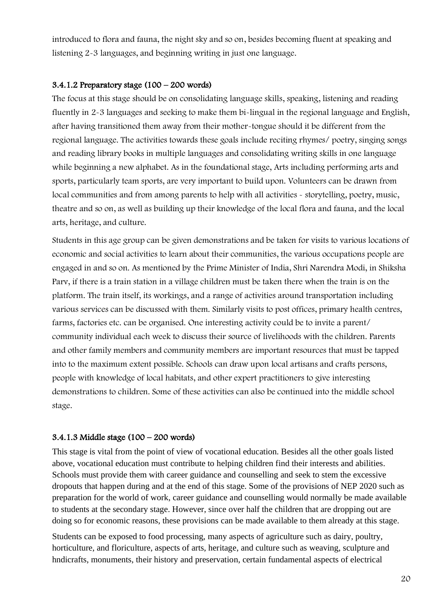introduced to flora and fauna, the night sky and so on, besides becoming fluent at speaking and listening 2-3 languages, and beginning writing in just one language.

### 3.4.1.2 Preparatory stage  $(100 - 200$  words)

The focus at this stage should be on consolidating language skills, speaking, listening and reading fluently in 2-3 languages and seeking to make them bi-lingual in the regional language and English, after having transitioned them away from their mother-tongue should it be different from the regional language. The activities towards these goals include reciting rhymes/ poetry, singing songs and reading library books in multiple languages and consolidating writing skills in one language while beginning a new alphabet. As in the foundational stage, Arts including performing arts and sports, particularly team sports, are very important to build upon. Volunteers can be drawn from local communities and from among parents to help with all activities - storytelling, poetry, music, theatre and so on, as well as building up their knowledge of the local flora and fauna, and the local arts, heritage, and culture.

Students in this age group can be given demonstrations and be taken for visits to various locations of economic and social activities to learn about their communities, the various occupations people are engaged in and so on. As mentioned by the Prime Minister of India, Shri Narendra Modi, in Shiksha Parv, if there is a train station in a village children must be taken there when the train is on the platform. The train itself, its workings, and a range of activities around transportation including various services can be discussed with them. Similarly visits to post offices, primary health centres, farms, factories etc. can be organised. One interesting activity could be to invite a parent/ community individual each week to discuss their source of livelihoods with the children. Parents and other family members and community members are important resources that must be tapped into to the maximum extent possible. Schools can draw upon local artisans and crafts persons, people with knowledge of local habitats, and other expert practitioners to give interesting demonstrations to children. Some of these activities can also be continued into the middle school stage.

#### 3.4.1.3 Middle stage (100 – 200 words)

This stage is vital from the point of view of vocational education. Besides all the other goals listed above, vocational education must contribute to helping children find their interests and abilities. Schools must provide them with career guidance and counselling and seek to stem the excessive dropouts that happen during and at the end of this stage. Some of the provisions of NEP 2020 such as preparation for the world of work, career guidance and counselling would normally be made available to students at the secondary stage. However, since over half the children that are dropping out are doing so for economic reasons, these provisions can be made available to them already at this stage.

Students can be exposed to food processing, many aspects of agriculture such as dairy, poultry, horticulture, and floriculture, aspects of arts, heritage, and culture such as weaving, sculpture and hndicrafts, monuments, their history and preservation, certain fundamental aspects of electrical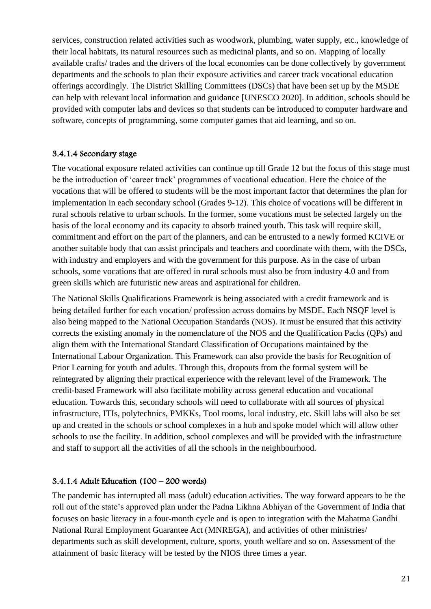services, construction related activities such as woodwork, plumbing, water supply, etc., knowledge of their local habitats, its natural resources such as medicinal plants, and so on. Mapping of locally available crafts/ trades and the drivers of the local economies can be done collectively by government departments and the schools to plan their exposure activities and career track vocational education offerings accordingly. The District Skilling Committees (DSCs) that have been set up by the MSDE can help with relevant local information and guidance [UNESCO 2020]. In addition, schools should be provided with computer labs and devices so that students can be introduced to computer hardware and software, concepts of programming, some computer games that aid learning, and so on.

### 3.4.1.4 Secondary stage

The vocational exposure related activities can continue up till Grade 12 but the focus of this stage must be the introduction of 'career track' programmes of vocational education. Here the choice of the vocations that will be offered to students will be the most important factor that determines the plan for implementation in each secondary school (Grades 9-12). This choice of vocations will be different in rural schools relative to urban schools. In the former, some vocations must be selected largely on the basis of the local economy and its capacity to absorb trained youth. This task will require skill, commitment and effort on the part of the planners, and can be entrusted to a newly formed KCIVE or another suitable body that can assist principals and teachers and coordinate with them, with the DSCs, with industry and employers and with the government for this purpose. As in the case of urban schools, some vocations that are offered in rural schools must also be from industry 4.0 and from green skills which are futuristic new areas and aspirational for children.

The National Skills Qualifications Framework is being associated with a credit framework and is being detailed further for each vocation/ profession across domains by MSDE. Each NSQF level is also being mapped to the National Occupation Standards (NOS). It must be ensured that this activity corrects the existing anomaly in the nomenclature of the NOS and the Qualification Packs (QPs) and align them with the International Standard Classification of Occupations maintained by the International Labour Organization. This Framework can also provide the basis for Recognition of Prior Learning for youth and adults. Through this, dropouts from the formal system will be reintegrated by aligning their practical experience with the relevant level of the Framework. The credit-based Framework will also facilitate mobility across general education and vocational education. Towards this, secondary schools will need to collaborate with all sources of physical infrastructure, ITIs, polytechnics, PMKKs, Tool rooms, local industry, etc. Skill labs will also be set up and created in the schools or school complexes in a hub and spoke model which will allow other schools to use the facility. In addition, school complexes and will be provided with the infrastructure and staff to support all the activities of all the schools in the neighbourhood.

## 3.4.1.4 Adult Education (100 – 200 words)

The pandemic has interrupted all mass (adult) education activities. The way forward appears to be the roll out of the state's approved plan under the Padna Likhna Abhiyan of the Government of India that focuses on basic literacy in a four-month cycle and is open to integration with the Mahatma Gandhi National Rural Employment Guarantee Act (MNREGA), and activities of other ministries/ departments such as skill development, culture, sports, youth welfare and so on. Assessment of the attainment of basic literacy will be tested by the NIOS three times a year.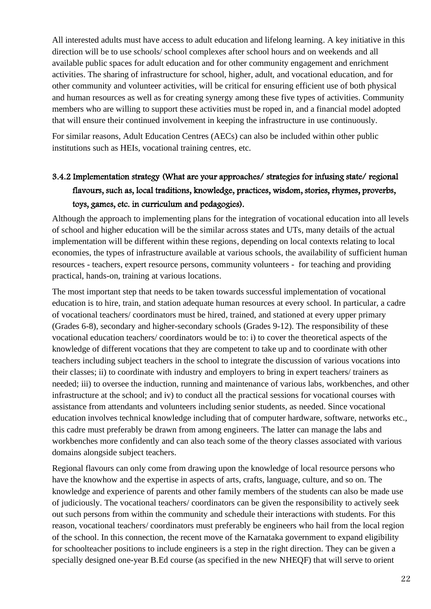All interested adults must have access to adult education and lifelong learning. A key initiative in this direction will be to use schools/ school complexes after school hours and on weekends and all available public spaces for adult education and for other community engagement and enrichment activities. The sharing of infrastructure for school, higher, adult, and vocational education, and for other community and volunteer activities, will be critical for ensuring efficient use of both physical and human resources as well as for creating synergy among these five types of activities. Community members who are willing to support these activities must be roped in, and a financial model adopted that will ensure their continued involvement in keeping the infrastructure in use continuously.

For similar reasons, Adult Education Centres (AECs) can also be included within other public institutions such as HEIs, vocational training centres, etc.

# 3.4.2 Implementation strategy (What are your approaches/ strategies for infusing state/ regional flavours, such as, local traditions, knowledge, practices, wisdom, stories, rhymes, proverbs, toys, games, etc. in curriculum and pedagogies).

Although the approach to implementing plans for the integration of vocational education into all levels of school and higher education will be the similar across states and UTs, many details of the actual implementation will be different within these regions, depending on local contexts relating to local economies, the types of infrastructure available at various schools, the availability of sufficient human resources - teachers, expert resource persons, community volunteers - for teaching and providing practical, hands-on, training at various locations.

The most important step that needs to be taken towards successful implementation of vocational education is to hire, train, and station adequate human resources at every school. In particular, a cadre of vocational teachers/ coordinators must be hired, trained, and stationed at every upper primary (Grades 6-8), secondary and higher-secondary schools (Grades 9-12). The responsibility of these vocational education teachers/ coordinators would be to: i) to cover the theoretical aspects of the knowledge of different vocations that they are competent to take up and to coordinate with other teachers including subject teachers in the school to integrate the discussion of various vocations into their classes; ii) to coordinate with industry and employers to bring in expert teachers/ trainers as needed; iii) to oversee the induction, running and maintenance of various labs, workbenches, and other infrastructure at the school; and iv) to conduct all the practical sessions for vocational courses with assistance from attendants and volunteers including senior students, as needed. Since vocational education involves technical knowledge including that of computer hardware, software, networks etc., this cadre must preferably be drawn from among engineers. The latter can manage the labs and workbenches more confidently and can also teach some of the theory classes associated with various domains alongside subject teachers.

Regional flavours can only come from drawing upon the knowledge of local resource persons who have the knowhow and the expertise in aspects of arts, crafts, language, culture, and so on. The knowledge and experience of parents and other family members of the students can also be made use of judiciously. The vocational teachers/ coordinators can be given the responsibility to actively seek out such persons from within the community and schedule their interactions with students. For this reason, vocational teachers/ coordinators must preferably be engineers who hail from the local region of the school. In this connection, the recent move of the Karnataka government to expand eligibility for schoolteacher positions to include engineers is a step in the right direction. They can be given a specially designed one-year B.Ed course (as specified in the new NHEQF) that will serve to orient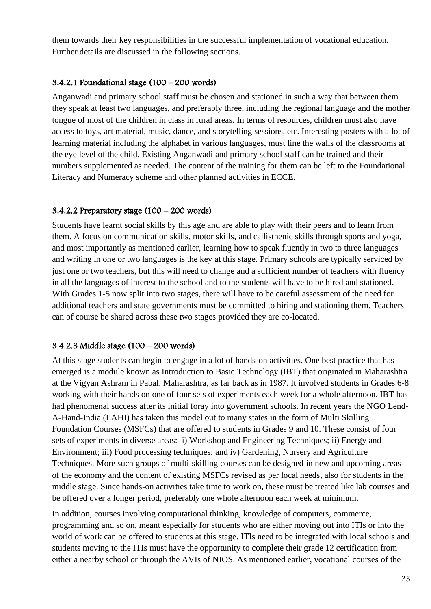them towards their key responsibilities in the successful implementation of vocational education. Further details are discussed in the following sections.

### 3.4.2.1 Foundational stage (100 – 200 words)

Anganwadi and primary school staff must be chosen and stationed in such a way that between them they speak at least two languages, and preferably three, including the regional language and the mother tongue of most of the children in class in rural areas. In terms of resources, children must also have access to toys, art material, music, dance, and storytelling sessions, etc. Interesting posters with a lot of learning material including the alphabet in various languages, must line the walls of the classrooms at the eye level of the child. Existing Anganwadi and primary school staff can be trained and their numbers supplemented as needed. The content of the training for them can be left to the Foundational Literacy and Numeracy scheme and other planned activities in ECCE.

### 3.4.2.2 Preparatory stage  $(100 - 200$  words)

Students have learnt social skills by this age and are able to play with their peers and to learn from them. A focus on communication skills, motor skills, and callisthenic skills through sports and yoga, and most importantly as mentioned earlier, learning how to speak fluently in two to three languages and writing in one or two languages is the key at this stage. Primary schools are typically serviced by just one or two teachers, but this will need to change and a sufficient number of teachers with fluency in all the languages of interest to the school and to the students will have to be hired and stationed. With Grades 1-5 now split into two stages, there will have to be careful assessment of the need for additional teachers and state governments must be committed to hiring and stationing them. Teachers can of course be shared across these two stages provided they are co-located.

## 3.4.2.3 Middle stage (100 – 200 words)

At this stage students can begin to engage in a lot of hands-on activities. One best practice that has emerged is a module known as Introduction to Basic Technology (IBT) that originated in Maharashtra at the Vigyan Ashram in Pabal, Maharashtra, as far back as in 1987. It involved students in Grades 6-8 working with their hands on one of four sets of experiments each week for a whole afternoon. IBT has had phenomenal success after its initial foray into government schools. In recent years the NGO Lend-A-Hand-India (LAHI) has taken this model out to many states in the form of Multi Skilling Foundation Courses (MSFCs) that are offered to students in Grades 9 and 10. These consist of four sets of experiments in diverse areas: i) Workshop and Engineering Techniques; ii) Energy and Environment; iii) Food processing techniques; and iv) Gardening, Nursery and Agriculture Techniques. More such groups of multi-skilling courses can be designed in new and upcoming areas of the economy and the content of existing MSFCs revised as per local needs, also for students in the middle stage. Since hands-on activities take time to work on, these must be treated like lab courses and be offered over a longer period, preferably one whole afternoon each week at minimum.

In addition, courses involving computational thinking, knowledge of computers, commerce, programming and so on, meant especially for students who are either moving out into ITIs or into the world of work can be offered to students at this stage. ITIs need to be integrated with local schools and students moving to the ITIs must have the opportunity to complete their grade 12 certification from either a nearby school or through the AVIs of NIOS. As mentioned earlier, vocational courses of the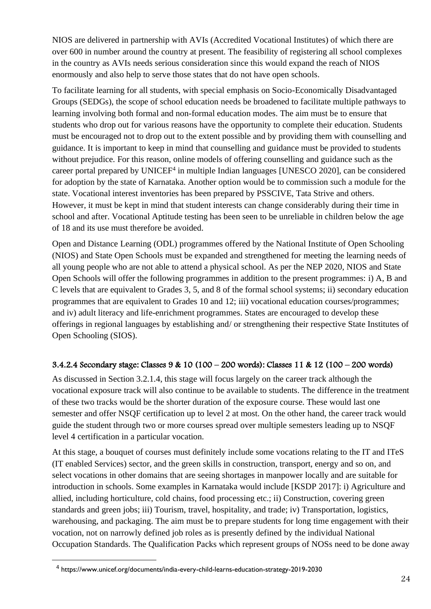NIOS are delivered in partnership with AVIs (Accredited Vocational Institutes) of which there are over 600 in number around the country at present. The feasibility of registering all school complexes in the country as AVIs needs serious consideration since this would expand the reach of NIOS enormously and also help to serve those states that do not have open schools.

To facilitate learning for all students, with special emphasis on Socio-Economically Disadvantaged Groups (SEDGs), the scope of school education needs be broadened to facilitate multiple pathways to learning involving both formal and non-formal education modes. The aim must be to ensure that students who drop out for various reasons have the opportunity to complete their education. Students must be encouraged not to drop out to the extent possible and by providing them with counselling and guidance. It is important to keep in mind that counselling and guidance must be provided to students without prejudice. For this reason, online models of offering counselling and guidance such as the career portal prepared by UNICEF<sup>4</sup> in multiple Indian languages [UNESCO 2020], can be considered for adoption by the state of Karnataka. Another option would be to commission such a module for the state. Vocational interest inventories has been prepared by PSSCIVE, Tata Strive and others. However, it must be kept in mind that student interests can change considerably during their time in school and after. Vocational Aptitude testing has been seen to be unreliable in children below the age of 18 and its use must therefore be avoided.

Open and Distance Learning (ODL) programmes offered by the National Institute of Open Schooling (NIOS) and State Open Schools must be expanded and strengthened for meeting the learning needs of all young people who are not able to attend a physical school. As per the NEP 2020, NIOS and State Open Schools will offer the following programmes in addition to the present programmes: i) A, B and C levels that are equivalent to Grades 3, 5, and 8 of the formal school systems; ii) secondary education programmes that are equivalent to Grades 10 and 12; iii) vocational education courses/programmes; and iv) adult literacy and life-enrichment programmes. States are encouraged to develop these offerings in regional languages by establishing and/ or strengthening their respective State Institutes of Open Schooling (SIOS).

## 3.4.2.4 Secondary stage: Classes 9 & 10 (100 – 200 words): Classes 11 & 12 (100 – 200 words)

As discussed in Section 3.2.1.4, this stage will focus largely on the career track although the vocational exposure track will also continue to be available to students. The difference in the treatment of these two tracks would be the shorter duration of the exposure course. These would last one semester and offer NSQF certification up to level 2 at most. On the other hand, the career track would guide the student through two or more courses spread over multiple semesters leading up to NSQF level 4 certification in a particular vocation.

At this stage, a bouquet of courses must definitely include some vocations relating to the IT and ITeS (IT enabled Services) sector, and the green skills in construction, transport, energy and so on, and select vocations in other domains that are seeing shortages in manpower locally and are suitable for introduction in schools. Some examples in Karnataka would include [KSDP 2017]: i) Agriculture and allied, including horticulture, cold chains, food processing etc.; ii) Construction, covering green standards and green jobs; iii) Tourism, travel, hospitality, and trade; iv) Transportation, logistics, warehousing, and packaging. The aim must be to prepare students for long time engagement with their vocation, not on narrowly defined job roles as is presently defined by the individual National Occupation Standards. The Qualification Packs which represent groups of NOSs need to be done away

<sup>4</sup> https://www.unicef.org/documents/india-every-child-learns-education-strategy-2019-2030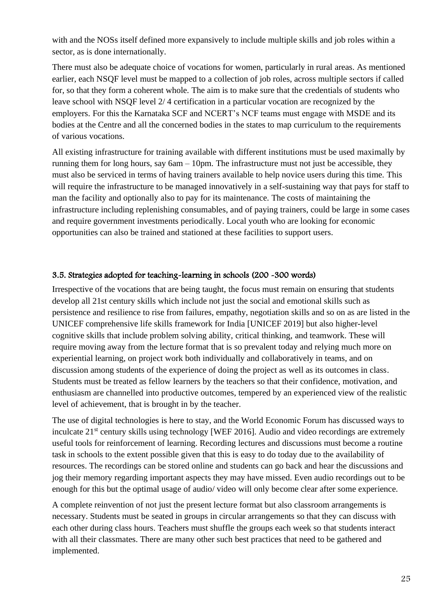with and the NOSs itself defined more expansively to include multiple skills and job roles within a sector, as is done internationally.

There must also be adequate choice of vocations for women, particularly in rural areas. As mentioned earlier, each NSQF level must be mapped to a collection of job roles, across multiple sectors if called for, so that they form a coherent whole. The aim is to make sure that the credentials of students who leave school with NSQF level 2/ 4 certification in a particular vocation are recognized by the employers. For this the Karnataka SCF and NCERT's NCF teams must engage with MSDE and its bodies at the Centre and all the concerned bodies in the states to map curriculum to the requirements of various vocations.

All existing infrastructure for training available with different institutions must be used maximally by running them for long hours, say  $6am - 10pm$ . The infrastructure must not just be accessible, they must also be serviced in terms of having trainers available to help novice users during this time. This will require the infrastructure to be managed innovatively in a self-sustaining way that pays for staff to man the facility and optionally also to pay for its maintenance. The costs of maintaining the infrastructure including replenishing consumables, and of paying trainers, could be large in some cases and require government investments periodically. Local youth who are looking for economic opportunities can also be trained and stationed at these facilities to support users.

### 3.5. Strategies adopted for teaching-learning in schools (200 -300 words)

Irrespective of the vocations that are being taught, the focus must remain on ensuring that students develop all 21st century skills which include not just the social and emotional skills such as persistence and resilience to rise from failures, empathy, negotiation skills and so on as are listed in the UNICEF comprehensive life skills framework for India [UNICEF 2019] but also higher-level cognitive skills that include problem solving ability, critical thinking, and teamwork. These will require moving away from the lecture format that is so prevalent today and relying much more on experiential learning, on project work both individually and collaboratively in teams, and on discussion among students of the experience of doing the project as well as its outcomes in class. Students must be treated as fellow learners by the teachers so that their confidence, motivation, and enthusiasm are channelled into productive outcomes, tempered by an experienced view of the realistic level of achievement, that is brought in by the teacher.

The use of digital technologies is here to stay, and the World Economic Forum has discussed ways to inculcate 21st century skills using technology [WEF 2016]. Audio and video recordings are extremely useful tools for reinforcement of learning. Recording lectures and discussions must become a routine task in schools to the extent possible given that this is easy to do today due to the availability of resources. The recordings can be stored online and students can go back and hear the discussions and jog their memory regarding important aspects they may have missed. Even audio recordings out to be enough for this but the optimal usage of audio/ video will only become clear after some experience.

A complete reinvention of not just the present lecture format but also classroom arrangements is necessary. Students must be seated in groups in circular arrangements so that they can discuss with each other during class hours. Teachers must shuffle the groups each week so that students interact with all their classmates. There are many other such best practices that need to be gathered and implemented.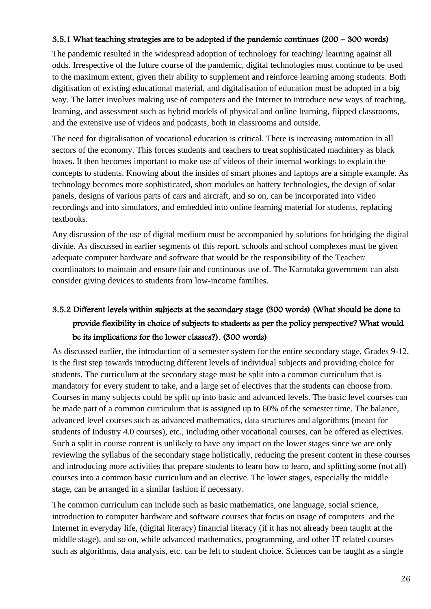#### 3.5.1 What teaching strategies are to be adopted if the pandemic continues (200 – 300 words)

The pandemic resulted in the widespread adoption of technology for teaching/ learning against all odds. Irrespective of the future course of the pandemic, digital technologies must continue to be used to the maximum extent, given their ability to supplement and reinforce learning among students. Both digitisation of existing educational material, and digitalisation of education must be adopted in a big way. The latter involves making use of computers and the Internet to introduce new ways of teaching, learning, and assessment such as hybrid models of physical and online learning, flipped classrooms, and the extensive use of videos and podcasts, both in classrooms and outside.

The need for digitalisation of vocational education is critical. There is increasing automation in all sectors of the economy. This forces students and teachers to treat sophisticated machinery as black boxes. It then becomes important to make use of videos of their internal workings to explain the concepts to students. Knowing about the insides of smart phones and laptops are a simple example. As technology becomes more sophisticated, short modules on battery technologies, the design of solar panels, designs of various parts of cars and aircraft, and so on, can be incorporated into video recordings and into simulators, and embedded into online learning material for students, replacing textbooks.

Any discussion of the use of digital medium must be accompanied by solutions for bridging the digital divide. As discussed in earlier segments of this report, schools and school complexes must be given adequate computer hardware and software that would be the responsibility of the Teacher/ coordinators to maintain and ensure fair and continuous use of. The Karnataka government can also consider giving devices to students from low-income families.

# 3.5.2 Different levels within subjects at the secondary stage (300 words) (What should be done to provide flexibility in choice of subjects to students as per the policy perspective? What would be its implications for the lower classes?). (300 words)

As discussed earlier, the introduction of a semester system for the entire secondary stage, Grades 9-12, is the first step towards introducing different levels of individual subjects and providing choice for students. The curriculum at the secondary stage must be split into a common curriculum that is mandatory for every student to take, and a large set of electives that the students can choose from. Courses in many subjects could be split up into basic and advanced levels. The basic level courses can be made part of a common curriculum that is assigned up to 60% of the semester time. The balance, advanced level courses such as advanced mathematics, data structures and algorithms (meant for students of Industry 4.0 courses), etc., including other vocational courses, can be offered as electives. Such a split in course content is unlikely to have any impact on the lower stages since we are only reviewing the syllabus of the secondary stage holistically, reducing the present content in these courses and introducing more activities that prepare students to learn how to learn, and splitting some (not all) courses into a common basic curriculum and an elective. The lower stages, especially the middle stage, can be arranged in a similar fashion if necessary.

The common curriculum can include such as basic mathematics, one language, social science, introduction to computer hardware and software courses that focus on usage of computers and the Internet in everyday life, (digital literacy) financial literacy (if it has not already been taught at the middle stage), and so on, while advanced mathematics, programming, and other IT related courses such as algorithms, data analysis, etc. can be left to student choice. Sciences can be taught as a single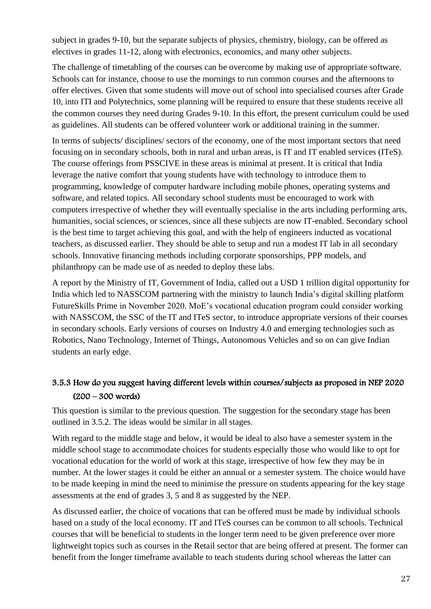subject in grades 9-10, but the separate subjects of physics, chemistry, biology, can be offered as electives in grades 11-12, along with electronics, economics, and many other subjects.

The challenge of timetabling of the courses can be overcome by making use of appropriate software. Schools can for instance, choose to use the mornings to run common courses and the afternoons to offer electives. Given that some students will move out of school into specialised courses after Grade 10, into ITI and Polytechnics, some planning will be required to ensure that these students receive all the common courses they need during Grades 9-10. In this effort, the present curriculum could be used as guidelines. All students can be offered volunteer work or additional training in the summer.

In terms of subjects/ disciplines/ sectors of the economy, one of the most important sectors that need focusing on in secondary schools, both in rural and urban areas, is IT and IT enabled services (ITeS). The course offerings from PSSCIVE in these areas is minimal at present. It is critical that India leverage the native comfort that young students have with technology to introduce them to programming, knowledge of computer hardware including mobile phones, operating systems and software, and related topics. All secondary school students must be encouraged to work with computers irrespective of whether they will eventually specialise in the arts including performing arts, humanities, social sciences, or sciences, since all these subjects are now IT-enabled. Secondary school is the best time to target achieving this goal, and with the help of engineers inducted as vocational teachers, as discussed earlier. They should be able to setup and run a modest IT lab in all secondary schools. Innovative financing methods including corporate sponsorships, PPP models, and philanthropy can be made use of as needed to deploy these labs.

A report by the Ministry of IT, Government of India, called out a USD 1 trillion digital opportunity for India which led to NASSCOM partnering with the ministry to launch India's digital skilling platform FutureSkills Prime in November 2020. MoE's vocational education program could consider working with NASSCOM, the SSC of the IT and ITeS sector, to introduce appropriate versions of their courses in secondary schools. Early versions of courses on Industry 4.0 and emerging technologies such as Robotics, Nano Technology, Internet of Things, Autonomous Vehicles and so on can give Indian students an early edge.

## 3.5.3 How do you suggest having different levels within courses/subjects as proposed in NEP 2020 (200 – 300 words)

This question is similar to the previous question. The suggestion for the secondary stage has been outlined in 3.5.2. The ideas would be similar in all stages.

With regard to the middle stage and below, it would be ideal to also have a semester system in the middle school stage to accommodate choices for students especially those who would like to opt for vocational education for the world of work at this stage, irrespective of how few they may be in number. At the lower stages it could be either an annual or a semester system. The choice would have to be made keeping in mind the need to minimise the pressure on students appearing for the key stage assessments at the end of grades 3, 5 and 8 as suggested by the NEP.

As discussed earlier, the choice of vocations that can be offered must be made by individual schools based on a study of the local economy. IT and ITeS courses can be common to all schools. Technical courses that will be beneficial to students in the longer term need to be given preference over more lightweight topics such as courses in the Retail sector that are being offered at present. The former can benefit from the longer timeframe available to teach students during school whereas the latter can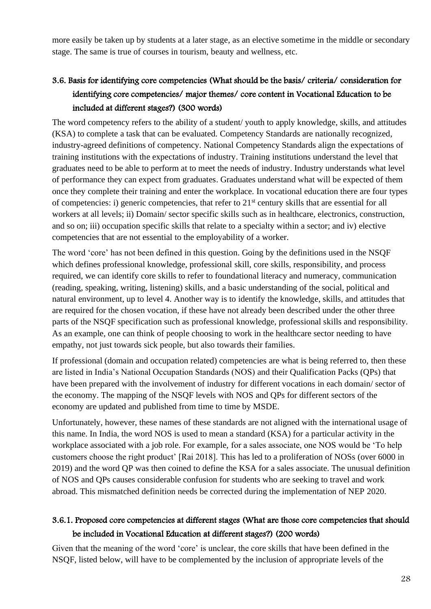more easily be taken up by students at a later stage, as an elective sometime in the middle or secondary stage. The same is true of courses in tourism, beauty and wellness, etc.

# 3.6. Basis for identifying core competencies (What should be the basis/ criteria/ consideration for identifying core competencies/ major themes/ core content in Vocational Education to be included at different stages?) (300 words)

The word competency refers to the ability of a student/ youth to apply knowledge, skills, and attitudes (KSA) to complete a task that can be evaluated. Competency Standards are nationally recognized, industry-agreed definitions of competency. National Competency Standards align the expectations of training institutions with the expectations of industry. Training institutions understand the level that graduates need to be able to perform at to meet the needs of industry. Industry understands what level of performance they can expect from graduates. Graduates understand what will be expected of them once they complete their training and enter the workplace. In vocational education there are four types of competencies: i) generic competencies, that refer to 21st century skills that are essential for all workers at all levels; ii) Domain/ sector specific skills such as in healthcare, electronics, construction, and so on; iii) occupation specific skills that relate to a specialty within a sector; and iv) elective competencies that are not essential to the employability of a worker.

The word 'core' has not been defined in this question. Going by the definitions used in the NSQF which defines professional knowledge, professional skill, core skills, responsibility, and process required, we can identify core skills to refer to foundational literacy and numeracy, communication (reading, speaking, writing, listening) skills, and a basic understanding of the social, political and natural environment, up to level 4. Another way is to identify the knowledge, skills, and attitudes that are required for the chosen vocation, if these have not already been described under the other three parts of the NSQF specification such as professional knowledge, professional skills and responsibility. As an example, one can think of people choosing to work in the healthcare sector needing to have empathy, not just towards sick people, but also towards their families.

If professional (domain and occupation related) competencies are what is being referred to, then these are listed in India's National Occupation Standards (NOS) and their Qualification Packs (QPs) that have been prepared with the involvement of industry for different vocations in each domain/ sector of the economy. The mapping of the NSQF levels with NOS and QPs for different sectors of the economy are updated and published from time to time by MSDE.

Unfortunately, however, these names of these standards are not aligned with the international usage of this name. In India, the word NOS is used to mean a standard (KSA) for a particular activity in the workplace associated with a job role. For example, for a sales associate, one NOS would be 'To help customers choose the right product' [Rai 2018]. This has led to a proliferation of NOSs (over 6000 in 2019) and the word QP was then coined to define the KSA for a sales associate. The unusual definition of NOS and QPs causes considerable confusion for students who are seeking to travel and work abroad. This mismatched definition needs be corrected during the implementation of NEP 2020.

## 3.6.1. Proposed core competencies at different stages (What are those core competencies that should be included in Vocational Education at different stages?) (200 words)

Given that the meaning of the word 'core' is unclear, the core skills that have been defined in the NSQF, listed below, will have to be complemented by the inclusion of appropriate levels of the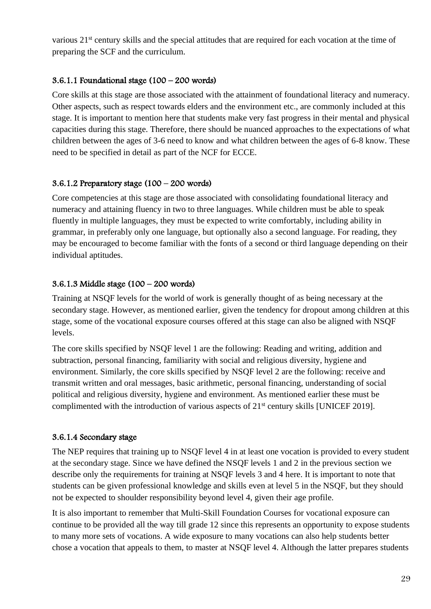various 21<sup>st</sup> century skills and the special attitudes that are required for each vocation at the time of preparing the SCF and the curriculum.

## 3.6.1.1 Foundational stage (100 – 200 words)

Core skills at this stage are those associated with the attainment of foundational literacy and numeracy. Other aspects, such as respect towards elders and the environment etc., are commonly included at this stage. It is important to mention here that students make very fast progress in their mental and physical capacities during this stage. Therefore, there should be nuanced approaches to the expectations of what children between the ages of 3-6 need to know and what children between the ages of 6-8 know. These need to be specified in detail as part of the NCF for ECCE.

## 3.6.1.2 Preparatory stage  $(100 - 200$  words)

Core competencies at this stage are those associated with consolidating foundational literacy and numeracy and attaining fluency in two to three languages. While children must be able to speak fluently in multiple languages, they must be expected to write comfortably, including ability in grammar, in preferably only one language, but optionally also a second language. For reading, they may be encouraged to become familiar with the fonts of a second or third language depending on their individual aptitudes.

## 3.6.1.3 Middle stage (100 – 200 words)

Training at NSQF levels for the world of work is generally thought of as being necessary at the secondary stage. However, as mentioned earlier, given the tendency for dropout among children at this stage, some of the vocational exposure courses offered at this stage can also be aligned with NSQF levels.

The core skills specified by NSQF level 1 are the following: Reading and writing, addition and subtraction, personal financing, familiarity with social and religious diversity, hygiene and environment. Similarly, the core skills specified by NSQF level 2 are the following: receive and transmit written and oral messages, basic arithmetic, personal financing, understanding of social political and religious diversity, hygiene and environment. As mentioned earlier these must be complimented with the introduction of various aspects of 21<sup>st</sup> century skills [UNICEF 2019].

## 3.6.1.4 Secondary stage

The NEP requires that training up to NSQF level 4 in at least one vocation is provided to every student at the secondary stage. Since we have defined the NSQF levels 1 and 2 in the previous section we describe only the requirements for training at NSQF levels 3 and 4 here. It is important to note that students can be given professional knowledge and skills even at level 5 in the NSQF, but they should not be expected to shoulder responsibility beyond level 4, given their age profile.

It is also important to remember that Multi-Skill Foundation Courses for vocational exposure can continue to be provided all the way till grade 12 since this represents an opportunity to expose students to many more sets of vocations. A wide exposure to many vocations can also help students better chose a vocation that appeals to them, to master at NSQF level 4. Although the latter prepares students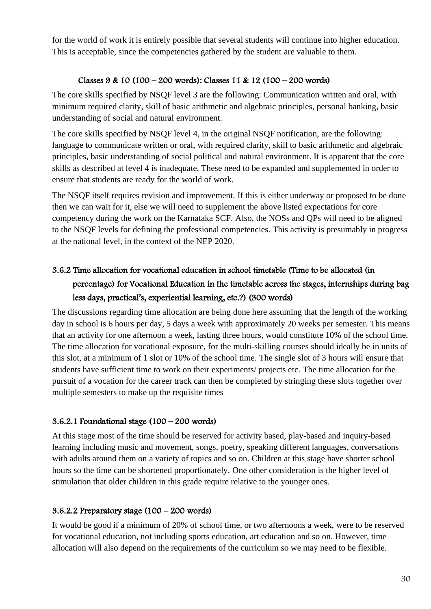for the world of work it is entirely possible that several students will continue into higher education. This is acceptable, since the competencies gathered by the student are valuable to them.

## Classes 9 & 10 (100 – 200 words): Classes 11 & 12 (100 – 200 words)

The core skills specified by NSQF level 3 are the following: Communication written and oral, with minimum required clarity, skill of basic arithmetic and algebraic principles, personal banking, basic understanding of social and natural environment.

The core skills specified by NSQF level 4, in the original NSQF notification, are the following: language to communicate written or oral, with required clarity, skill to basic arithmetic and algebraic principles, basic understanding of social political and natural environment. It is apparent that the core skills as described at level 4 is inadequate. These need to be expanded and supplemented in order to ensure that students are ready for the world of work.

The NSQF itself requires revision and improvement. If this is either underway or proposed to be done then we can wait for it, else we will need to supplement the above listed expectations for core competency during the work on the Karnataka SCF. Also, the NOSs and QPs will need to be aligned to the NSQF levels for defining the professional competencies. This activity is presumably in progress at the national level, in the context of the NEP 2020.

# 3.6.2 Time allocation for vocational education in school timetable (Time to be allocated (in percentage) for Vocational Education in the timetable across the stages, internships during bag less days, practical's, experiential learning, etc.?) (300 words)

The discussions regarding time allocation are being done here assuming that the length of the working day in school is 6 hours per day, 5 days a week with approximately 20 weeks per semester. This means that an activity for one afternoon a week, lasting three hours, would constitute 10% of the school time. The time allocation for vocational exposure, for the multi-skilling courses should ideally be in units of this slot, at a minimum of 1 slot or 10% of the school time. The single slot of 3 hours will ensure that students have sufficient time to work on their experiments/ projects etc. The time allocation for the pursuit of a vocation for the career track can then be completed by stringing these slots together over multiple semesters to make up the requisite times

## 3.6.2.1 Foundational stage (100 – 200 words)

At this stage most of the time should be reserved for activity based, play-based and inquiry-based learning including music and movement, songs, poetry, speaking different languages, conversations with adults around them on a variety of topics and so on. Children at this stage have shorter school hours so the time can be shortened proportionately. One other consideration is the higher level of stimulation that older children in this grade require relative to the younger ones.

## 3.6.2.2 Preparatory stage (100 – 200 words)

It would be good if a minimum of 20% of school time, or two afternoons a week, were to be reserved for vocational education, not including sports education, art education and so on. However, time allocation will also depend on the requirements of the curriculum so we may need to be flexible.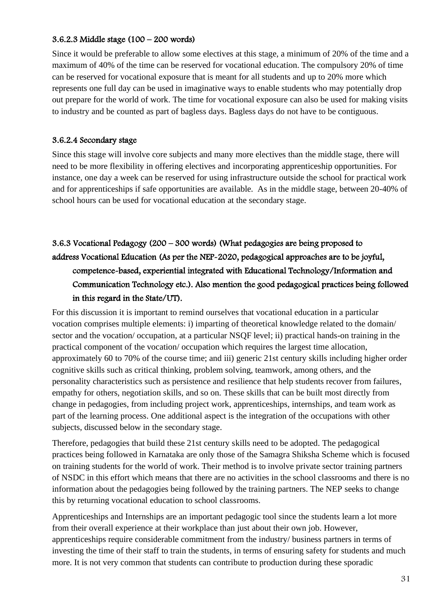### 3.6.2.3 Middle stage (100 – 200 words)

Since it would be preferable to allow some electives at this stage, a minimum of 20% of the time and a maximum of 40% of the time can be reserved for vocational education. The compulsory 20% of time can be reserved for vocational exposure that is meant for all students and up to 20% more which represents one full day can be used in imaginative ways to enable students who may potentially drop out prepare for the world of work. The time for vocational exposure can also be used for making visits to industry and be counted as part of bagless days. Bagless days do not have to be contiguous.

## 3.6.2.4 Secondary stage

Since this stage will involve core subjects and many more electives than the middle stage, there will need to be more flexibility in offering electives and incorporating apprenticeship opportunities. For instance, one day a week can be reserved for using infrastructure outside the school for practical work and for apprenticeships if safe opportunities are available. As in the middle stage, between 20-40% of school hours can be used for vocational education at the secondary stage.

# 3.6.3 Vocational Pedagogy (200 – 300 words) (What pedagogies are being proposed to address Vocational Education (As per the NEP-2020, pedagogical approaches are to be joyful, competence-based, experiential integrated with Educational Technology/Information and Communication Technology etc.). Also mention the good pedagogical practices being followed in this regard in the State/UT).

For this discussion it is important to remind ourselves that vocational education in a particular vocation comprises multiple elements: i) imparting of theoretical knowledge related to the domain/ sector and the vocation/ occupation, at a particular NSQF level; ii) practical hands-on training in the practical component of the vocation/ occupation which requires the largest time allocation, approximately 60 to 70% of the course time; and iii) generic 21st century skills including higher order cognitive skills such as critical thinking, problem solving, teamwork, among others, and the personality characteristics such as persistence and resilience that help students recover from failures, empathy for others, negotiation skills, and so on. These skills that can be built most directly from change in pedagogies, from including project work, apprenticeships, internships, and team work as part of the learning process. One additional aspect is the integration of the occupations with other subjects, discussed below in the secondary stage.

Therefore, pedagogies that build these 21st century skills need to be adopted. The pedagogical practices being followed in Karnataka are only those of the Samagra Shiksha Scheme which is focused on training students for the world of work. Their method is to involve private sector training partners of NSDC in this effort which means that there are no activities in the school classrooms and there is no information about the pedagogies being followed by the training partners. The NEP seeks to change this by returning vocational education to school classrooms.

Apprenticeships and Internships are an important pedagogic tool since the students learn a lot more from their overall experience at their workplace than just about their own job. However, apprenticeships require considerable commitment from the industry/ business partners in terms of investing the time of their staff to train the students, in terms of ensuring safety for students and much more. It is not very common that students can contribute to production during these sporadic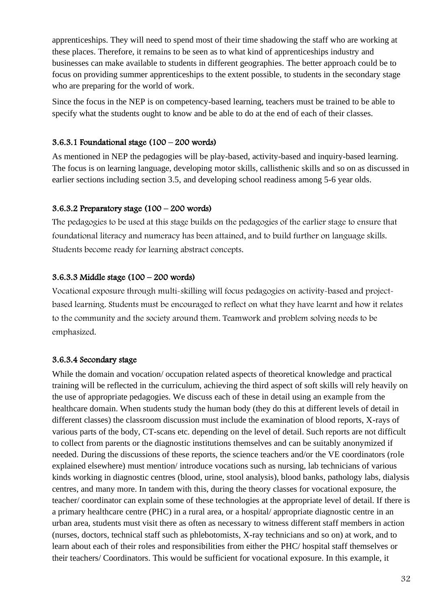apprenticeships. They will need to spend most of their time shadowing the staff who are working at these places. Therefore, it remains to be seen as to what kind of apprenticeships industry and businesses can make available to students in different geographies. The better approach could be to focus on providing summer apprenticeships to the extent possible, to students in the secondary stage who are preparing for the world of work.

Since the focus in the NEP is on competency-based learning, teachers must be trained to be able to specify what the students ought to know and be able to do at the end of each of their classes.

## 3.6.3.1 Foundational stage (100 – 200 words)

As mentioned in NEP the pedagogies will be play-based, activity-based and inquiry-based learning. The focus is on learning language, developing motor skills, callisthenic skills and so on as discussed in earlier sections including section 3.5, and developing school readiness among 5-6 year olds.

### 3.6.3.2 Preparatory stage  $(100 - 200$  words)

The pedagogies to be used at this stage builds on the pedagogies of the earlier stage to ensure that foundational literacy and numeracy has been attained, and to build further on language skills. Students become ready for learning abstract concepts.

## 3.6.3.3 Middle stage (100 – 200 words)

Vocational exposure through multi-skilling will focus pedagogies on activity-based and projectbased learning. Students must be encouraged to reflect on what they have learnt and how it relates to the community and the society around them. Teamwork and problem solving needs to be emphasized.

#### 3.6.3.4 Secondary stage

While the domain and vocation/ occupation related aspects of theoretical knowledge and practical training will be reflected in the curriculum, achieving the third aspect of soft skills will rely heavily on the use of appropriate pedagogies. We discuss each of these in detail using an example from the healthcare domain. When students study the human body (they do this at different levels of detail in different classes) the classroom discussion must include the examination of blood reports, X-rays of various parts of the body, CT-scans etc. depending on the level of detail. Such reports are not difficult to collect from parents or the diagnostic institutions themselves and can be suitably anonymized if needed. During the discussions of these reports, the science teachers and/or the VE coordinators (role explained elsewhere) must mention/ introduce vocations such as nursing, lab technicians of various kinds working in diagnostic centres (blood, urine, stool analysis), blood banks, pathology labs, dialysis centres, and many more. In tandem with this, during the theory classes for vocational exposure, the teacher/ coordinator can explain some of these technologies at the appropriate level of detail. If there is a primary healthcare centre (PHC) in a rural area, or a hospital/ appropriate diagnostic centre in an urban area, students must visit there as often as necessary to witness different staff members in action (nurses, doctors, technical staff such as phlebotomists, X-ray technicians and so on) at work, and to learn about each of their roles and responsibilities from either the PHC/ hospital staff themselves or their teachers/ Coordinators. This would be sufficient for vocational exposure. In this example, it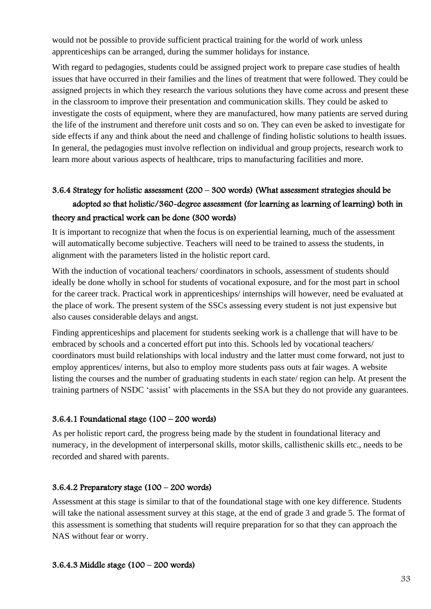would not be possible to provide sufficient practical training for the world of work unless apprenticeships can be arranged, during the summer holidays for instance.

With regard to pedagogies, students could be assigned project work to prepare case studies of health issues that have occurred in their families and the lines of treatment that were followed. They could be assigned projects in which they research the various solutions they have come across and present these in the classroom to improve their presentation and communication skills. They could be asked to investigate the costs of equipment, where they are manufactured, how many patients are served during the life of the instrument and therefore unit costs and so on. They can even be asked to investigate for side effects if any and think about the need and challenge of finding holistic solutions to health issues. In general, the pedagogies must involve reflection on individual and group projects, research work to learn more about various aspects of healthcare, trips to manufacturing facilities and more.

# 3.6.4 Strategy for holistic assessment (200 – 300 words) (What assessment strategies should be adopted so that holistic/360-degree assessment (for learning as learning of learning) both in theory and practical work can be done (300 words)

It is important to recognize that when the focus is on experiential learning, much of the assessment will automatically become subjective. Teachers will need to be trained to assess the students, in alignment with the parameters listed in the holistic report card.

With the induction of vocational teachers/ coordinators in schools, assessment of students should ideally be done wholly in school for students of vocational exposure, and for the most part in school for the career track. Practical work in apprenticeships/ internships will however, need be evaluated at the place of work. The present system of the SSCs assessing every student is not just expensive but also causes considerable delays and angst.

Finding apprenticeships and placement for students seeking work is a challenge that will have to be embraced by schools and a concerted effort put into this. Schools led by vocational teachers/ coordinators must build relationships with local industry and the latter must come forward, not just to employ apprentices/ interns, but also to employ more students pass outs at fair wages. A website listing the courses and the number of graduating students in each state/ region can help. At present the training partners of NSDC 'assist' with placements in the SSA but they do not provide any guarantees.

## 3.6.4.1 Foundational stage (100 – 200 words)

As per holistic report card, the progress being made by the student in foundational literacy and numeracy, in the development of interpersonal skills, motor skills, callisthenic skills etc., needs to be recorded and shared with parents.

## 3.6.4.2 Preparatory stage (100 – 200 words)

Assessment at this stage is similar to that of the foundational stage with one key difference. Students will take the national assessment survey at this stage, at the end of grade 3 and grade 5. The format of this assessment is something that students will require preparation for so that they can approach the NAS without fear or worry.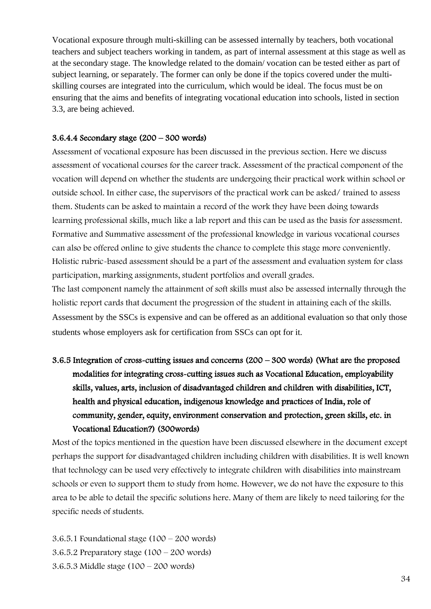Vocational exposure through multi-skilling can be assessed internally by teachers, both vocational teachers and subject teachers working in tandem, as part of internal assessment at this stage as well as at the secondary stage. The knowledge related to the domain/ vocation can be tested either as part of subject learning, or separately. The former can only be done if the topics covered under the multiskilling courses are integrated into the curriculum, which would be ideal. The focus must be on ensuring that the aims and benefits of integrating vocational education into schools, listed in section 3.3, are being achieved.

#### 3.6.4.4 Secondary stage (200 – 300 words)

Assessment of vocational exposure has been discussed in the previous section. Here we discuss assessment of vocational courses for the career track. Assessment of the practical component of the vocation will depend on whether the students are undergoing their practical work within school or outside school. In either case, the supervisors of the practical work can be asked/ trained to assess them. Students can be asked to maintain a record of the work they have been doing towards learning professional skills, much like a lab report and this can be used as the basis for assessment. Formative and Summative assessment of the professional knowledge in various vocational courses can also be offered online to give students the chance to complete this stage more conveniently. Holistic rubric-based assessment should be a part of the assessment and evaluation system for class participation, marking assignments, student portfolios and overall grades.

The last component namely the attainment of soft skills must also be assessed internally through the holistic report cards that document the progression of the student in attaining each of the skills. Assessment by the SSCs is expensive and can be offered as an additional evaluation so that only those students whose employers ask for certification from SSCs can opt for it.

# 3.6.5 Integration of cross-cutting issues and concerns (200 – 300 words) (What are the proposed modalities for integrating cross-cutting issues such as Vocational Education, employability skills, values, arts, inclusion of disadvantaged children and children with disabilities, ICT, health and physical education, indigenous knowledge and practices of India, role of community, gender, equity, environment conservation and protection, green skills, etc. in Vocational Education?) (300words)

Most of the topics mentioned in the question have been discussed elsewhere in the document except perhaps the support for disadvantaged children including children with disabilities. It is well known that technology can be used very effectively to integrate children with disabilities into mainstream schools or even to support them to study from home. However, we do not have the exposure to this area to be able to detail the specific solutions here. Many of them are likely to need tailoring for the specific needs of students.

3.6.5.1 Foundational stage (100 – 200 words) 3.6.5.2 Preparatory stage  $(100 - 200$  words) 3.6.5.3 Middle stage (100 – 200 words)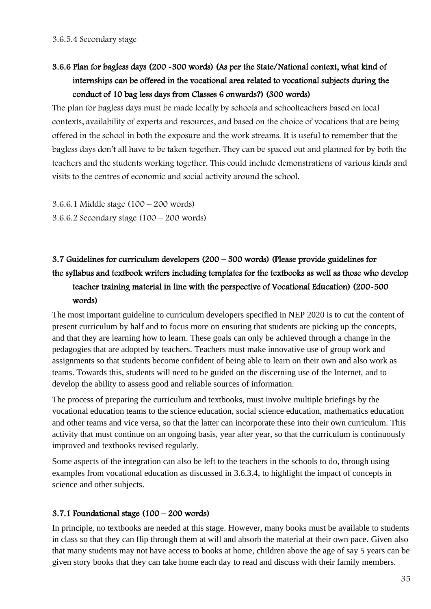# 3.6.6 Plan for bagless days (200 -300 words) (As per the State/National context, what kind of internships can be offered in the vocational area related to vocational subjects during the conduct of 10 bag less days from Classes 6 onwards?) (300 words)

The plan for bagless days must be made locally by schools and schoolteachers based on local contexts, availability of experts and resources, and based on the choice of vocations that are being offered in the school in both the exposure and the work streams. It is useful to remember that the bagless days don't all have to be taken together. They can be spaced out and planned for by both the teachers and the students working together. This could include demonstrations of various kinds and visits to the centres of economic and social activity around the school.

3.6.6.1 Middle stage (100 – 200 words) 3.6.6.2 Secondary stage (100 – 200 words)

# 3.7 Guidelines for curriculum developers (200 – 500 words) (Please provide guidelines for the syllabus and textbook writers including templates for the textbooks as well as those who develop teacher training material in line with the perspective of Vocational Education) (200-500 words)

The most important guideline to curriculum developers specified in NEP 2020 is to cut the content of present curriculum by half and to focus more on ensuring that students are picking up the concepts, and that they are learning how to learn. These goals can only be achieved through a change in the pedagogies that are adopted by teachers. Teachers must make innovative use of group work and assignments so that students become confident of being able to learn on their own and also work as teams. Towards this, students will need to be guided on the discerning use of the Internet, and to develop the ability to assess good and reliable sources of information.

The process of preparing the curriculum and textbooks, must involve multiple briefings by the vocational education teams to the science education, social science education, mathematics education and other teams and vice versa, so that the latter can incorporate these into their own curriculum. This activity that must continue on an ongoing basis, year after year, so that the curriculum is continuously improved and textbooks revised regularly.

Some aspects of the integration can also be left to the teachers in the schools to do, through using examples from vocational education as discussed in 3.6.3.4, to highlight the impact of concepts in science and other subjects.

## 3.7.1 Foundational stage (100 – 200 words)

In principle, no textbooks are needed at this stage. However, many books must be available to students in class so that they can flip through them at will and absorb the material at their own pace. Given also that many students may not have access to books at home, children above the age of say 5 years can be given story books that they can take home each day to read and discuss with their family members.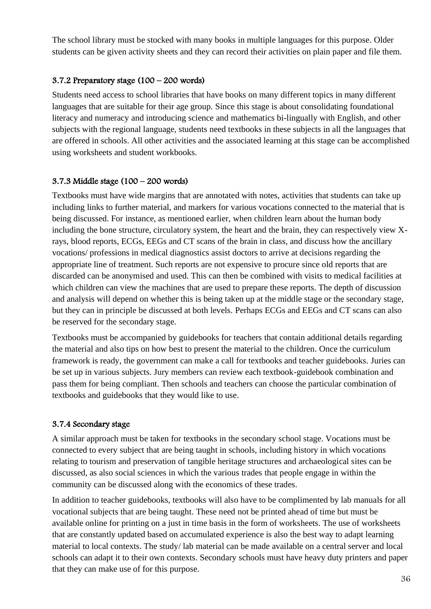The school library must be stocked with many books in multiple languages for this purpose. Older students can be given activity sheets and they can record their activities on plain paper and file them.

## 3.7.2 Preparatory stage (100 – 200 words)

Students need access to school libraries that have books on many different topics in many different languages that are suitable for their age group. Since this stage is about consolidating foundational literacy and numeracy and introducing science and mathematics bi-lingually with English, and other subjects with the regional language, students need textbooks in these subjects in all the languages that are offered in schools. All other activities and the associated learning at this stage can be accomplished using worksheets and student workbooks.

## 3.7.3 Middle stage (100 – 200 words)

Textbooks must have wide margins that are annotated with notes, activities that students can take up including links to further material, and markers for various vocations connected to the material that is being discussed. For instance, as mentioned earlier, when children learn about the human body including the bone structure, circulatory system, the heart and the brain, they can respectively view Xrays, blood reports, ECGs, EEGs and CT scans of the brain in class, and discuss how the ancillary vocations/ professions in medical diagnostics assist doctors to arrive at decisions regarding the appropriate line of treatment. Such reports are not expensive to procure since old reports that are discarded can be anonymised and used. This can then be combined with visits to medical facilities at which children can view the machines that are used to prepare these reports. The depth of discussion and analysis will depend on whether this is being taken up at the middle stage or the secondary stage, but they can in principle be discussed at both levels. Perhaps ECGs and EEGs and CT scans can also be reserved for the secondary stage.

Textbooks must be accompanied by guidebooks for teachers that contain additional details regarding the material and also tips on how best to present the material to the children. Once the curriculum framework is ready, the government can make a call for textbooks and teacher guidebooks. Juries can be set up in various subjects. Jury members can review each textbook-guidebook combination and pass them for being compliant. Then schools and teachers can choose the particular combination of textbooks and guidebooks that they would like to use.

## 3.7.4 Secondary stage

A similar approach must be taken for textbooks in the secondary school stage. Vocations must be connected to every subject that are being taught in schools, including history in which vocations relating to tourism and preservation of tangible heritage structures and archaeological sites can be discussed, as also social sciences in which the various trades that people engage in within the community can be discussed along with the economics of these trades.

In addition to teacher guidebooks, textbooks will also have to be complimented by lab manuals for all vocational subjects that are being taught. These need not be printed ahead of time but must be available online for printing on a just in time basis in the form of worksheets. The use of worksheets that are constantly updated based on accumulated experience is also the best way to adapt learning material to local contexts. The study/ lab material can be made available on a central server and local schools can adapt it to their own contexts. Secondary schools must have heavy duty printers and paper that they can make use of for this purpose.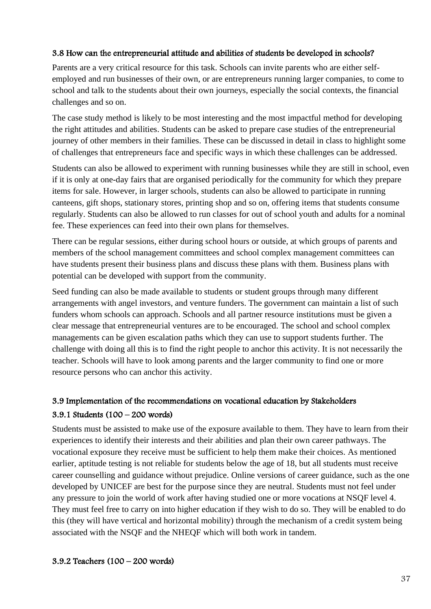### 3.8 How can the entrepreneurial attitude and abilities of students be developed in schools?

Parents are a very critical resource for this task. Schools can invite parents who are either selfemployed and run businesses of their own, or are entrepreneurs running larger companies, to come to school and talk to the students about their own journeys, especially the social contexts, the financial challenges and so on.

The case study method is likely to be most interesting and the most impactful method for developing the right attitudes and abilities. Students can be asked to prepare case studies of the entrepreneurial journey of other members in their families. These can be discussed in detail in class to highlight some of challenges that entrepreneurs face and specific ways in which these challenges can be addressed.

Students can also be allowed to experiment with running businesses while they are still in school, even if it is only at one-day fairs that are organised periodically for the community for which they prepare items for sale. However, in larger schools, students can also be allowed to participate in running canteens, gift shops, stationary stores, printing shop and so on, offering items that students consume regularly. Students can also be allowed to run classes for out of school youth and adults for a nominal fee. These experiences can feed into their own plans for themselves.

There can be regular sessions, either during school hours or outside, at which groups of parents and members of the school management committees and school complex management committees can have students present their business plans and discuss these plans with them. Business plans with potential can be developed with support from the community.

Seed funding can also be made available to students or student groups through many different arrangements with angel investors, and venture funders. The government can maintain a list of such funders whom schools can approach. Schools and all partner resource institutions must be given a clear message that entrepreneurial ventures are to be encouraged. The school and school complex managements can be given escalation paths which they can use to support students further. The challenge with doing all this is to find the right people to anchor this activity. It is not necessarily the teacher. Schools will have to look among parents and the larger community to find one or more resource persons who can anchor this activity.

# 3.9 Implementation of the recommendations on vocational education by Stakeholders 3.9.1 Students (100 – 200 words)

Students must be assisted to make use of the exposure available to them. They have to learn from their experiences to identify their interests and their abilities and plan their own career pathways. The vocational exposure they receive must be sufficient to help them make their choices. As mentioned earlier, aptitude testing is not reliable for students below the age of 18, but all students must receive career counselling and guidance without prejudice. Online versions of career guidance, such as the one developed by UNICEF are best for the purpose since they are neutral. Students must not feel under any pressure to join the world of work after having studied one or more vocations at NSQF level 4. They must feel free to carry on into higher education if they wish to do so. They will be enabled to do this (they will have vertical and horizontal mobility) through the mechanism of a credit system being associated with the NSQF and the NHEQF which will both work in tandem.

#### 3.9.2 Teachers (100 – 200 words)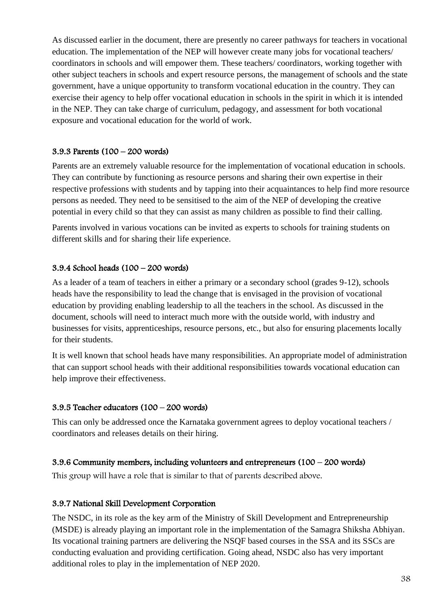As discussed earlier in the document, there are presently no career pathways for teachers in vocational education. The implementation of the NEP will however create many jobs for vocational teachers/ coordinators in schools and will empower them. These teachers/ coordinators, working together with other subject teachers in schools and expert resource persons, the management of schools and the state government, have a unique opportunity to transform vocational education in the country. They can exercise their agency to help offer vocational education in schools in the spirit in which it is intended in the NEP. They can take charge of curriculum, pedagogy, and assessment for both vocational exposure and vocational education for the world of work.

### 3.9.3 Parents (100 – 200 words)

Parents are an extremely valuable resource for the implementation of vocational education in schools. They can contribute by functioning as resource persons and sharing their own expertise in their respective professions with students and by tapping into their acquaintances to help find more resource persons as needed. They need to be sensitised to the aim of the NEP of developing the creative potential in every child so that they can assist as many children as possible to find their calling.

Parents involved in various vocations can be invited as experts to schools for training students on different skills and for sharing their life experience.

## 3.9.4 School heads (100 – 200 words)

As a leader of a team of teachers in either a primary or a secondary school (grades 9-12), schools heads have the responsibility to lead the change that is envisaged in the provision of vocational education by providing enabling leadership to all the teachers in the school. As discussed in the document, schools will need to interact much more with the outside world, with industry and businesses for visits, apprenticeships, resource persons, etc., but also for ensuring placements locally for their students.

It is well known that school heads have many responsibilities. An appropriate model of administration that can support school heads with their additional responsibilities towards vocational education can help improve their effectiveness.

#### 3.9.5 Teacher educators (100 – 200 words)

This can only be addressed once the Karnataka government agrees to deploy vocational teachers / coordinators and releases details on their hiring.

#### 3.9.6 Community members, including volunteers and entrepreneurs (100 – 200 words)

This group will have a role that is similar to that of parents described above.

#### 3.9.7 National Skill Development Corporation

The NSDC, in its role as the key arm of the Ministry of Skill Development and Entrepreneurship (MSDE) is already playing an important role in the implementation of the Samagra Shiksha Abhiyan. Its vocational training partners are delivering the NSQF based courses in the SSA and its SSCs are conducting evaluation and providing certification. Going ahead, NSDC also has very important additional roles to play in the implementation of NEP 2020.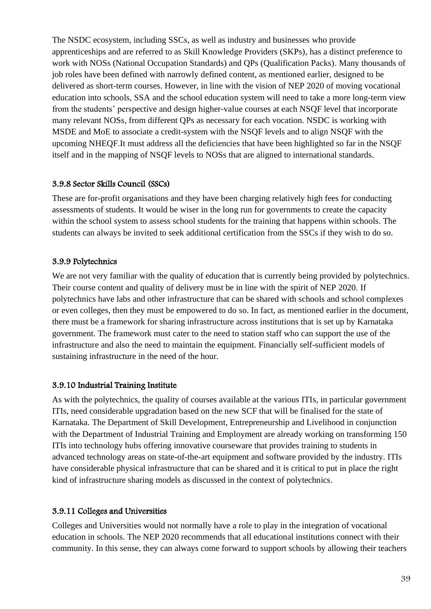The NSDC ecosystem, including SSCs, as well as industry and businesses who provide apprenticeships and are referred to as Skill Knowledge Providers (SKPs), has a distinct preference to work with NOSs (National Occupation Standards) and QPs (Qualification Packs). Many thousands of job roles have been defined with narrowly defined content, as mentioned earlier, designed to be delivered as short-term courses. However, in line with the vision of NEP 2020 of moving vocational education into schools, SSA and the school education system will need to take a more long-term view from the students' perspective and design higher-value courses at each NSQF level that incorporate many relevant NOSs, from different QPs as necessary for each vocation. NSDC is working with MSDE and MoE to associate a credit-system with the NSQF levels and to align NSQF with the upcoming NHEQF.It must address all the deficiencies that have been highlighted so far in the NSQF itself and in the mapping of NSQF levels to NOSs that are aligned to international standards.

#### 3.9.8 Sector Skills Council (SSCs)

These are for-profit organisations and they have been charging relatively high fees for conducting assessments of students. It would be wiser in the long run for governments to create the capacity within the school system to assess school students for the training that happens within schools. The students can always be invited to seek additional certification from the SSCs if they wish to do so.

## 3.9.9 Polytechnics

We are not very familiar with the quality of education that is currently being provided by polytechnics. Their course content and quality of delivery must be in line with the spirit of NEP 2020. If polytechnics have labs and other infrastructure that can be shared with schools and school complexes or even colleges, then they must be empowered to do so. In fact, as mentioned earlier in the document, there must be a framework for sharing infrastructure across institutions that is set up by Karnataka government. The framework must cater to the need to station staff who can support the use of the infrastructure and also the need to maintain the equipment. Financially self-sufficient models of sustaining infrastructure in the need of the hour.

## 3.9.10 Industrial Training Institute

As with the polytechnics, the quality of courses available at the various ITIs, in particular government ITIs, need considerable upgradation based on the new SCF that will be finalised for the state of Karnataka. The Department of Skill Development, Entrepreneurship and Livelihood in conjunction with the Department of Industrial Training and Employment are already working on transforming 150 ITIs into technology hubs offering innovative courseware that provides training to students in advanced technology areas on state-of-the-art equipment and software provided by the industry. ITIs have considerable physical infrastructure that can be shared and it is critical to put in place the right kind of infrastructure sharing models as discussed in the context of polytechnics.

## 3.9.11 Colleges and Universities

Colleges and Universities would not normally have a role to play in the integration of vocational education in schools. The NEP 2020 recommends that all educational institutions connect with their community. In this sense, they can always come forward to support schools by allowing their teachers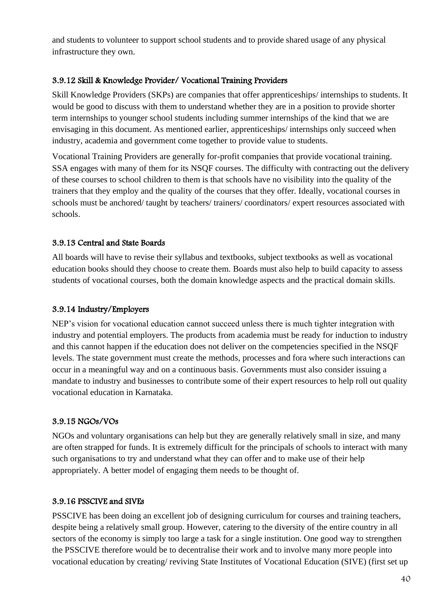and students to volunteer to support school students and to provide shared usage of any physical infrastructure they own.

## 3.9.12 Skill & Knowledge Provider/ Vocational Training Providers

Skill Knowledge Providers (SKPs) are companies that offer apprenticeships/ internships to students. It would be good to discuss with them to understand whether they are in a position to provide shorter term internships to younger school students including summer internships of the kind that we are envisaging in this document. As mentioned earlier, apprenticeships/ internships only succeed when industry, academia and government come together to provide value to students.

Vocational Training Providers are generally for-profit companies that provide vocational training. SSA engages with many of them for its NSQF courses. The difficulty with contracting out the delivery of these courses to school children to them is that schools have no visibility into the quality of the trainers that they employ and the quality of the courses that they offer. Ideally, vocational courses in schools must be anchored/ taught by teachers/ trainers/ coordinators/ expert resources associated with schools.

## 3.9.13 Central and State Boards

All boards will have to revise their syllabus and textbooks, subject textbooks as well as vocational education books should they choose to create them. Boards must also help to build capacity to assess students of vocational courses, both the domain knowledge aspects and the practical domain skills.

## 3.9.14 Industry/Employers

NEP's vision for vocational education cannot succeed unless there is much tighter integration with industry and potential employers. The products from academia must be ready for induction to industry and this cannot happen if the education does not deliver on the competencies specified in the NSQF levels. The state government must create the methods, processes and fora where such interactions can occur in a meaningful way and on a continuous basis. Governments must also consider issuing a mandate to industry and businesses to contribute some of their expert resources to help roll out quality vocational education in Karnataka.

## 3.9.15 NGOs/VOs

NGOs and voluntary organisations can help but they are generally relatively small in size, and many are often strapped for funds. It is extremely difficult for the principals of schools to interact with many such organisations to try and understand what they can offer and to make use of their help appropriately. A better model of engaging them needs to be thought of.

## 3.9.16 PSSCIVE and SIVEs

PSSCIVE has been doing an excellent job of designing curriculum for courses and training teachers, despite being a relatively small group. However, catering to the diversity of the entire country in all sectors of the economy is simply too large a task for a single institution. One good way to strengthen the PSSCIVE therefore would be to decentralise their work and to involve many more people into vocational education by creating/ reviving State Institutes of Vocational Education (SIVE) (first set up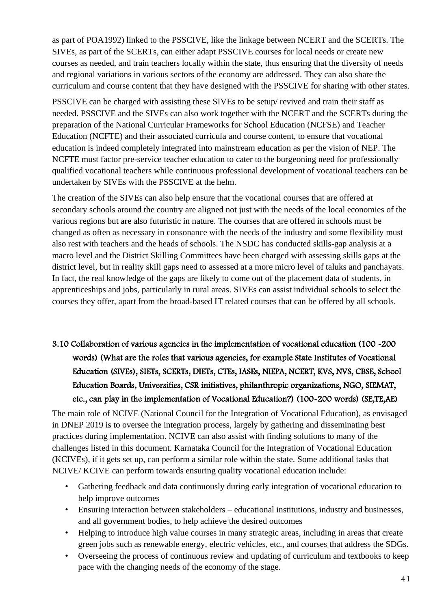as part of POA1992) linked to the PSSCIVE, like the linkage between NCERT and the SCERTs. The SIVEs, as part of the SCERTs, can either adapt PSSCIVE courses for local needs or create new courses as needed, and train teachers locally within the state, thus ensuring that the diversity of needs and regional variations in various sectors of the economy are addressed. They can also share the curriculum and course content that they have designed with the PSSCIVE for sharing with other states.

PSSCIVE can be charged with assisting these SIVEs to be setup/ revived and train their staff as needed. PSSCIVE and the SIVEs can also work together with the NCERT and the SCERTs during the preparation of the National Curricular Frameworks for School Education (NCFSE) and Teacher Education (NCFTE) and their associated curricula and course content, to ensure that vocational education is indeed completely integrated into mainstream education as per the vision of NEP. The NCFTE must factor pre-service teacher education to cater to the burgeoning need for professionally qualified vocational teachers while continuous professional development of vocational teachers can be undertaken by SIVEs with the PSSCIVE at the helm.

The creation of the SIVEs can also help ensure that the vocational courses that are offered at secondary schools around the country are aligned not just with the needs of the local economies of the various regions but are also futuristic in nature. The courses that are offered in schools must be changed as often as necessary in consonance with the needs of the industry and some flexibility must also rest with teachers and the heads of schools. The NSDC has conducted skills-gap analysis at a macro level and the District Skilling Committees have been charged with assessing skills gaps at the district level, but in reality skill gaps need to assessed at a more micro level of taluks and panchayats. In fact, the real knowledge of the gaps are likely to come out of the placement data of students, in apprenticeships and jobs, particularly in rural areas. SIVEs can assist individual schools to select the courses they offer, apart from the broad-based IT related courses that can be offered by all schools.

3.10 Collaboration of various agencies in the implementation of vocational education (100 -200 words) (What are the roles that various agencies, for example State Institutes of Vocational Education (SIVEs), SIETs, SCERTs, DIETs, CTEs, IASEs, NIEPA, NCERT, KVS, NVS, CBSE, School Education Boards, Universities, CSR initiatives, philanthropic organizations, NGO, SIEMAT, etc., can play in the implementation of Vocational Education?) (100-200 words) (SE,TE,AE)

The main role of NCIVE (National Council for the Integration of Vocational Education), as envisaged in DNEP 2019 is to oversee the integration process, largely by gathering and disseminating best practices during implementation. NCIVE can also assist with finding solutions to many of the challenges listed in this document. Karnataka Council for the Integration of Vocational Education (KCIVEs), if it gets set up, can perform a similar role within the state. Some additional tasks that NCIVE/ KCIVE can perform towards ensuring quality vocational education include:

- Gathering feedback and data continuously during early integration of vocational education to help improve outcomes
- Ensuring interaction between stakeholders educational institutions, industry and businesses, and all government bodies, to help achieve the desired outcomes
- Helping to introduce high value courses in many strategic areas, including in areas that create green jobs such as renewable energy, electric vehicles, etc., and courses that address the SDGs.
- Overseeing the process of continuous review and updating of curriculum and textbooks to keep pace with the changing needs of the economy of the stage.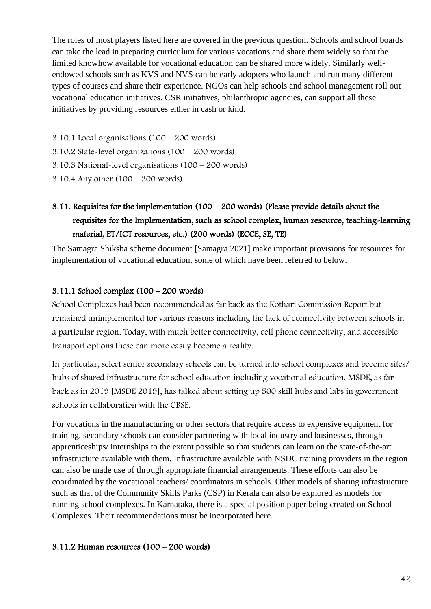The roles of most players listed here are covered in the previous question. Schools and school boards can take the lead in preparing curriculum for various vocations and share them widely so that the limited knowhow available for vocational education can be shared more widely. Similarly wellendowed schools such as KVS and NVS can be early adopters who launch and run many different types of courses and share their experience. NGOs can help schools and school management roll out vocational education initiatives. CSR initiatives, philanthropic agencies, can support all these initiatives by providing resources either in cash or kind.

3.10.1 Local organisations (100 – 200 words)

3.10.2 State-level organizations (100 – 200 words)

3.10.3 National-level organisations (100 – 200 words)

3.10.4 Any other (100 – 200 words)

# 3.11. Requisites for the implementation (100 – 200 words) (Please provide details about the requisites for the Implementation, such as school complex, human resource, teaching-learning material, ET/ICT resources, etc.) (200 words) (ECCE, SE, TE)

The Samagra Shiksha scheme document [Samagra 2021] make important provisions for resources for implementation of vocational education, some of which have been referred to below.

## 3.11.1 School complex (100 – 200 words)

School Complexes had been recommended as far back as the Kothari Commission Report but remained unimplemented for various reasons including the lack of connectivity between schools in a particular region. Today, with much better connectivity, cell phone connectivity, and accessible transport options these can more easily become a reality.

In particular, select senior secondary schools can be turned into school complexes and become sites/ hubs of shared infrastructure for school education including vocational education. MSDE, as far back as in 2019 [MSDE 2019], has talked about setting up 500 skill hubs and labs in government schools in collaboration with the CBSE.

For vocations in the manufacturing or other sectors that require access to expensive equipment for training, secondary schools can consider partnering with local industry and businesses, through apprenticeships/ internships to the extent possible so that students can learn on the state-of-the-art infrastructure available with them. Infrastructure available with NSDC training providers in the region can also be made use of through appropriate financial arrangements. These efforts can also be coordinated by the vocational teachers/ coordinators in schools. Other models of sharing infrastructure such as that of the Community Skills Parks (CSP) in Kerala can also be explored as models for running school complexes. In Karnataka, there is a special position paper being created on School Complexes. Their recommendations must be incorporated here.

## 3.11.2 Human resources (100 – 200 words)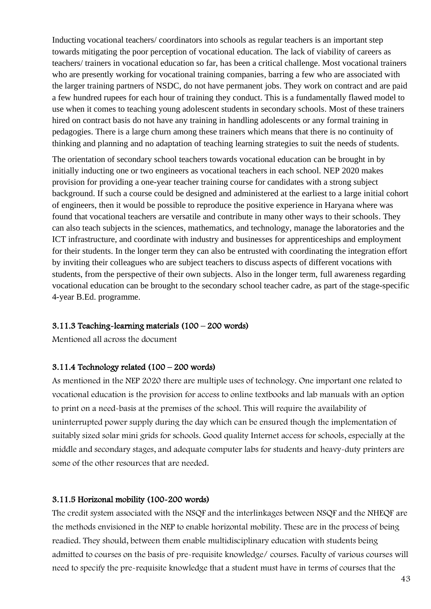Inducting vocational teachers/ coordinators into schools as regular teachers is an important step towards mitigating the poor perception of vocational education. The lack of viability of careers as teachers/ trainers in vocational education so far, has been a critical challenge. Most vocational trainers who are presently working for vocational training companies, barring a few who are associated with the larger training partners of NSDC, do not have permanent jobs. They work on contract and are paid a few hundred rupees for each hour of training they conduct. This is a fundamentally flawed model to use when it comes to teaching young adolescent students in secondary schools. Most of these trainers hired on contract basis do not have any training in handling adolescents or any formal training in pedagogies. There is a large churn among these trainers which means that there is no continuity of thinking and planning and no adaptation of teaching learning strategies to suit the needs of students.

The orientation of secondary school teachers towards vocational education can be brought in by initially inducting one or two engineers as vocational teachers in each school. NEP 2020 makes provision for providing a one-year teacher training course for candidates with a strong subject background. If such a course could be designed and administered at the earliest to a large initial cohort of engineers, then it would be possible to reproduce the positive experience in Haryana where was found that vocational teachers are versatile and contribute in many other ways to their schools. They can also teach subjects in the sciences, mathematics, and technology, manage the laboratories and the ICT infrastructure, and coordinate with industry and businesses for apprenticeships and employment for their students. In the longer term they can also be entrusted with coordinating the integration effort by inviting their colleagues who are subject teachers to discuss aspects of different vocations with students, from the perspective of their own subjects. Also in the longer term, full awareness regarding vocational education can be brought to the secondary school teacher cadre, as part of the stage-specific 4-year B.Ed. programme.

#### 3.11.3 Teaching-learning materials (100 – 200 words)

Mentioned all across the document

#### 3.11.4 Technology related (100 – 200 words)

As mentioned in the NEP 2020 there are multiple uses of technology. One important one related to vocational education is the provision for access to online textbooks and lab manuals with an option to print on a need-basis at the premises of the school. This will require the availability of uninterrupted power supply during the day which can be ensured though the implementation of suitably sized solar mini grids for schools. Good quality Internet access for schools, especially at the middle and secondary stages, and adequate computer labs for students and heavy-duty printers are some of the other resources that are needed.

#### 3.11.5 Horizonal mobility (100-200 words)

The credit system associated with the NSQF and the interlinkages between NSQF and the NHEQF are the methods envisioned in the NEP to enable horizontal mobility. These are in the process of being readied. They should, between them enable multidisciplinary education with students being admitted to courses on the basis of pre-requisite knowledge/ courses. Faculty of various courses will need to specify the pre-requisite knowledge that a student must have in terms of courses that the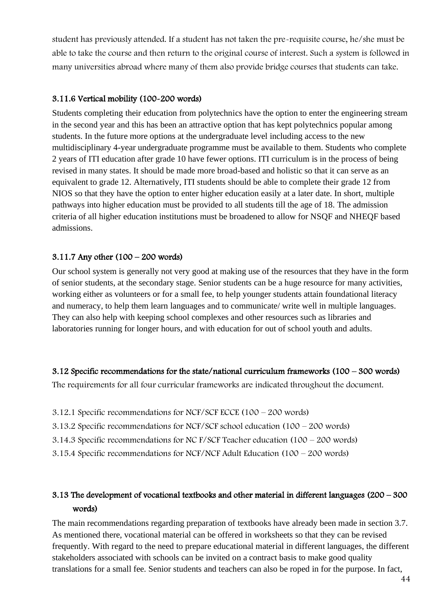student has previously attended. If a student has not taken the pre-requisite course, he/she must be able to take the course and then return to the original course of interest. Such a system is followed in many universities abroad where many of them also provide bridge courses that students can take.

### 3.11.6 Vertical mobility (100-200 words)

Students completing their education from polytechnics have the option to enter the engineering stream in the second year and this has been an attractive option that has kept polytechnics popular among students. In the future more options at the undergraduate level including access to the new multidisciplinary 4-year undergraduate programme must be available to them. Students who complete 2 years of ITI education after grade 10 have fewer options. ITI curriculum is in the process of being revised in many states. It should be made more broad-based and holistic so that it can serve as an equivalent to grade 12. Alternatively, ITI students should be able to complete their grade 12 from NIOS so that they have the option to enter higher education easily at a later date. In short, multiple pathways into higher education must be provided to all students till the age of 18. The admission criteria of all higher education institutions must be broadened to allow for NSQF and NHEQF based admissions.

#### 3.11.7 Any other (100 – 200 words)

Our school system is generally not very good at making use of the resources that they have in the form of senior students, at the secondary stage. Senior students can be a huge resource for many activities, working either as volunteers or for a small fee, to help younger students attain foundational literacy and numeracy, to help them learn languages and to communicate/ write well in multiple languages. They can also help with keeping school complexes and other resources such as libraries and laboratories running for longer hours, and with education for out of school youth and adults.

#### 3.12 Specific recommendations for the state/national curriculum frameworks (100 – 300 words)

The requirements for all four curricular frameworks are indicated throughout the document.

- 3.12.1 Specific recommendations for NCF/SCF ECCE (100 200 words)
- 3.13.2 Specific recommendations for NCF/SCF school education (100 200 words)
- 3.14.3 Specific recommendations for NC F/SCF Teacher education (100 200 words)
- 3.15.4 Specific recommendations for NCF/NCF Adult Education (100 200 words)

## 3.13 The development of vocational textbooks and other material in different languages (200 – 300 words)

The main recommendations regarding preparation of textbooks have already been made in section 3.7. As mentioned there, vocational material can be offered in worksheets so that they can be revised frequently. With regard to the need to prepare educational material in different languages, the different stakeholders associated with schools can be invited on a contract basis to make good quality translations for a small fee. Senior students and teachers can also be roped in for the purpose. In fact,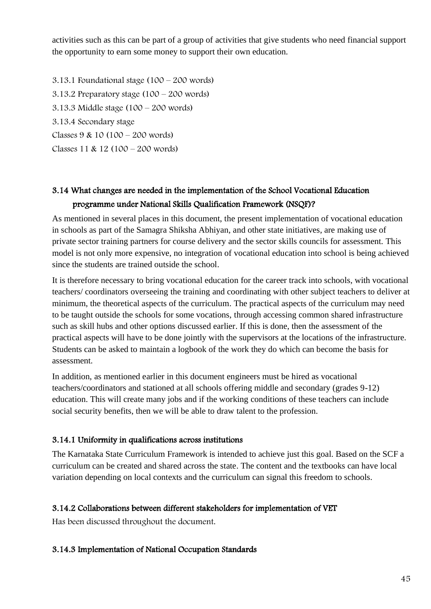activities such as this can be part of a group of activities that give students who need financial support the opportunity to earn some money to support their own education.

3.13.1 Foundational stage (100 – 200 words) 3.13.2 Preparatory stage  $(100 - 200$  words) 3.13.3 Middle stage (100 – 200 words) 3.13.4 Secondary stage Classes 9 & 10 (100 – 200 words) Classes 11 & 12 (100 – 200 words)

## 3.14 What changes are needed in the implementation of the School Vocational Education programme under National Skills Qualification Framework (NSQF)?

As mentioned in several places in this document, the present implementation of vocational education in schools as part of the Samagra Shiksha Abhiyan, and other state initiatives, are making use of private sector training partners for course delivery and the sector skills councils for assessment. This model is not only more expensive, no integration of vocational education into school is being achieved since the students are trained outside the school.

It is therefore necessary to bring vocational education for the career track into schools, with vocational teachers/ coordinators overseeing the training and coordinating with other subject teachers to deliver at minimum, the theoretical aspects of the curriculum. The practical aspects of the curriculum may need to be taught outside the schools for some vocations, through accessing common shared infrastructure such as skill hubs and other options discussed earlier. If this is done, then the assessment of the practical aspects will have to be done jointly with the supervisors at the locations of the infrastructure. Students can be asked to maintain a logbook of the work they do which can become the basis for assessment.

In addition, as mentioned earlier in this document engineers must be hired as vocational teachers/coordinators and stationed at all schools offering middle and secondary (grades 9-12) education. This will create many jobs and if the working conditions of these teachers can include social security benefits, then we will be able to draw talent to the profession.

## 3.14.1 Uniformity in qualifications across institutions

The Karnataka State Curriculum Framework is intended to achieve just this goal. Based on the SCF a curriculum can be created and shared across the state. The content and the textbooks can have local variation depending on local contexts and the curriculum can signal this freedom to schools.

## 3.14.2 Collaborations between different stakeholders for implementation of VET

Has been discussed throughout the document.

## 3.14.3 Implementation of National Occupation Standards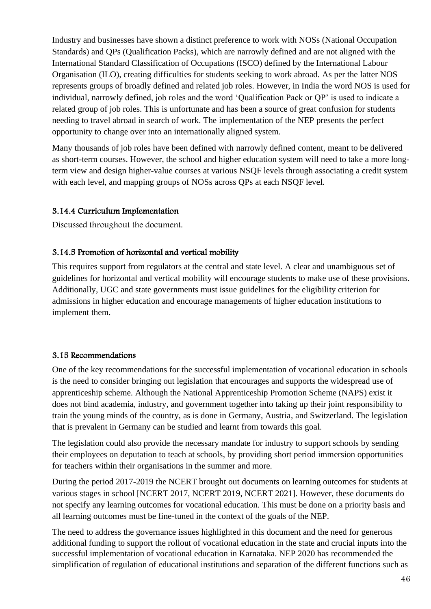Industry and businesses have shown a distinct preference to work with NOSs (National Occupation Standards) and QPs (Qualification Packs), which are narrowly defined and are not aligned with the International Standard Classification of Occupations (ISCO) defined by the International Labour Organisation (ILO), creating difficulties for students seeking to work abroad. As per the latter NOS represents groups of broadly defined and related job roles. However, in India the word NOS is used for individual, narrowly defined, job roles and the word 'Qualification Pack or QP' is used to indicate a related group of job roles. This is unfortunate and has been a source of great confusion for students needing to travel abroad in search of work. The implementation of the NEP presents the perfect opportunity to change over into an internationally aligned system.

Many thousands of job roles have been defined with narrowly defined content, meant to be delivered as short-term courses. However, the school and higher education system will need to take a more longterm view and design higher-value courses at various NSQF levels through associating a credit system with each level, and mapping groups of NOSs across QPs at each NSQF level.

## 3.14.4 Curriculum Implementation

Discussed throughout the document.

### 3.14.5 Promotion of horizontal and vertical mobility

This requires support from regulators at the central and state level. A clear and unambiguous set of guidelines for horizontal and vertical mobility will encourage students to make use of these provisions. Additionally, UGC and state governments must issue guidelines for the eligibility criterion for admissions in higher education and encourage managements of higher education institutions to implement them.

#### 3.15 Recommendations

One of the key recommendations for the successful implementation of vocational education in schools is the need to consider bringing out legislation that encourages and supports the widespread use of apprenticeship scheme. Although the National Apprenticeship Promotion Scheme (NAPS) exist it does not bind academia, industry, and government together into taking up their joint responsibility to train the young minds of the country, as is done in Germany, Austria, and Switzerland. The legislation that is prevalent in Germany can be studied and learnt from towards this goal.

The legislation could also provide the necessary mandate for industry to support schools by sending their employees on deputation to teach at schools, by providing short period immersion opportunities for teachers within their organisations in the summer and more.

During the period 2017-2019 the NCERT brought out documents on learning outcomes for students at various stages in school [NCERT 2017, NCERT 2019, NCERT 2021]. However, these documents do not specify any learning outcomes for vocational education. This must be done on a priority basis and all learning outcomes must be fine-tuned in the context of the goals of the NEP.

The need to address the governance issues highlighted in this document and the need for generous additional funding to support the rollout of vocational education in the state and crucial inputs into the successful implementation of vocational education in Karnataka. NEP 2020 has recommended the simplification of regulation of educational institutions and separation of the different functions such as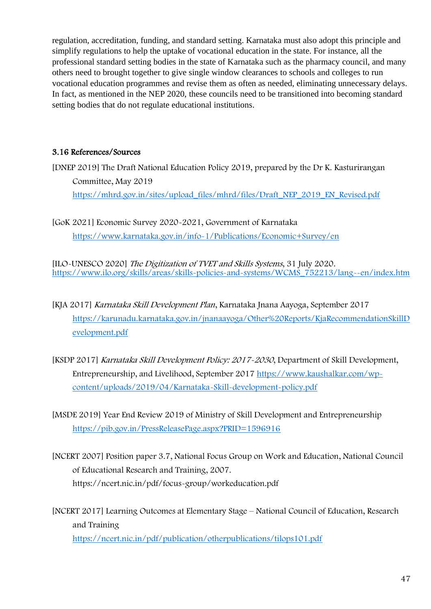regulation, accreditation, funding, and standard setting. Karnataka must also adopt this principle and simplify regulations to help the uptake of vocational education in the state. For instance, all the professional standard setting bodies in the state of Karnataka such as the pharmacy council, and many others need to brought together to give single window clearances to schools and colleges to run vocational education programmes and revise them as often as needed, eliminating unnecessary delays. In fact, as mentioned in the NEP 2020, these councils need to be transitioned into becoming standard setting bodies that do not regulate educational institutions.

## 3.16 References/Sources

[DNEP 2019] The Draft National Education Policy 2019, prepared by the Dr K. Kasturirangan Committee, May 2019 [https://mhrd.gov.in/sites/upload\\_files/mhrd/files/Draft\\_NEP\\_2019\\_EN\\_Revised.pdf](https://mhrd.gov.in/sites/upload_files/mhrd/files/Draft_NEP_2019_EN_Revised.pdf)

[GoK 2021] Economic Survey 2020-2021, Government of Karnataka https://www.karnataka.gov.in/info-1/Publications/Economic+Survey/en

[ILO-UNESCO 2020] The Digitization of TVET and Skills Systems, 31 July 2020. [https://www.ilo.org/skills/areas/skills-policies-and-systems/WCMS\\_752213/lang--en/index.htm](https://www.ilo.org/skills/areas/skills-policies-and-systems/WCMS_752213/lang--en/index.htm)

- [KJA 2017] Karnataka Skill Development Plan, Karnataka Jnana Aayoga, September 2017 [https://karunadu.karnataka.gov.in/jnanaayoga/Other%20Reports/KjaRecommendationSkillD](https://karunadu.karnataka.gov.in/jnanaayoga/Other%20Reports/KjaRecommendationSkillDevelopment.pdf) [evelopment.pdf](https://karunadu.karnataka.gov.in/jnanaayoga/Other%20Reports/KjaRecommendationSkillDevelopment.pdf)
- [KSDP 2017] Karnataka Skill Development Policy: 2017-2030, Department of Skill Development, Entrepreneurship, and Livelihood, September 2017 [https://www.kaushalkar.com/wp](https://www.kaushalkar.com/wp-content/uploads/2019/04/Karnataka-Skill-development-policy.pdf)[content/uploads/2019/04/Karnataka-Skill-development-policy.pdf](https://www.kaushalkar.com/wp-content/uploads/2019/04/Karnataka-Skill-development-policy.pdf)

[MSDE 2019] Year End Review 2019 of Ministry of Skill Development and Entrepreneurship <https://pib.gov.in/PressReleasePage.aspx?PRID=1596916>

- [NCERT 2007] Position paper 3.7, National Focus Group on Work and Education, National Council of Educational Research and Training, 2007. https://ncert.nic.in/pdf/focus-group/workeducation.pdf
- [NCERT 2017] Learning Outcomes at Elementary Stage National Council of Education, Research and Training <https://ncert.nic.in/pdf/publication/otherpublications/tilops101.pdf>

47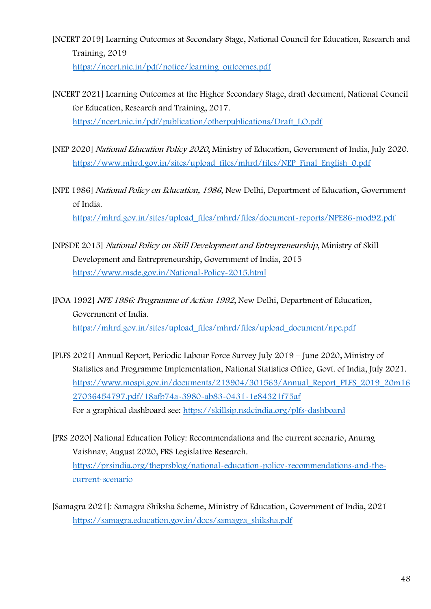- [NCERT 2019] Learning Outcomes at Secondary Stage, National Council for Education, Research and Training, 2019 [https://ncert.nic.in/pdf/notice/learning\\_outcomes.pdf](https://ncert.nic.in/pdf/notice/learning_outcomes.pdf)
- [NCERT 2021] Learning Outcomes at the Higher Secondary Stage, draft document, National Council for Education, Research and Training, 2017. [https://ncert.nic.in/pdf/publication/otherpublications/Draft\\_LO.pdf](https://ncert.nic.in/pdf/publication/otherpublications/Draft_LO.pdf)
- [NEP 2020] National Education Policy <sup>2020</sup>, Ministry of Education, Government of India, July 2020. [https://www.mhrd.gov.in/sites/upload\\_files/mhrd/files/NEP\\_Final\\_English\\_0.pdf](https://www.mhrd.gov.in/sites/upload_files/mhrd/files/NEP_Final_English_0.pdf)
- [NPE 1986] National Policy on Education, 1986, New Delhi, Department of Education, Government of India.

[https://mhrd.gov.in/sites/upload\\_files/mhrd/files/document-reports/NPE86-mod92.pdf](https://mhrd.gov.in/sites/upload_files/mhrd/files/document-reports/NPE86-mod92.pdf)

- [NPSDE 2015] National Policy on Skill Development and Entrepreneurship, Ministry of Skill Development and Entrepreneurship, Government of India, 2015 <https://www.msde.gov.in/National-Policy-2015.html>
- [POA 1992] NPE 1986: Programme of Action 1992, New Delhi, Department of Education, Government of India. [https://mhrd.gov.in/sites/upload\\_files/mhrd/files/upload\\_document/npe.pdf](https://mhrd.gov.in/sites/upload_files/mhrd/files/upload_document/npe.pdf)
- [PLFS 2021] Annual Report, Periodic Labour Force Survey July 2019 June 2020, Ministry of Statistics and Programme Implementation, National Statistics Office, Govt. of India, July 2021. [https://www.mospi.gov.in/documents/213904/301563/Annual\\_Report\\_PLFS\\_2019\\_20m16](https://www.mospi.gov.in/documents/213904/301563/Annual_Report_PLFS_2019_20m1627036454797.pdf/18afb74a-3980-ab83-0431-1e84321f75af) [27036454797.pdf/18afb74a-3980-ab83-0431-1e84321f75af](https://www.mospi.gov.in/documents/213904/301563/Annual_Report_PLFS_2019_20m1627036454797.pdf/18afb74a-3980-ab83-0431-1e84321f75af) For a graphical dashboard see:<https://skillsip.nsdcindia.org/plfs-dashboard>
- [PRS 2020] National Education Policy: Recommendations and the current scenario, Anurag Vaishnav, August 2020, PRS Legislative Research. [https://prsindia.org/theprsblog/national-education-policy-recommendations-and-the](https://prsindia.org/theprsblog/national-education-policy-recommendations-and-the-current-scenario)[current-scenario](https://prsindia.org/theprsblog/national-education-policy-recommendations-and-the-current-scenario)
- [Samagra 2021]: Samagra Shiksha Scheme, Ministry of Education, Government of India, 2021 [https://samagra.education.gov.in/docs/samagra\\_shiksha.pdf](https://samagra.education.gov.in/docs/samagra_shiksha.pdf)